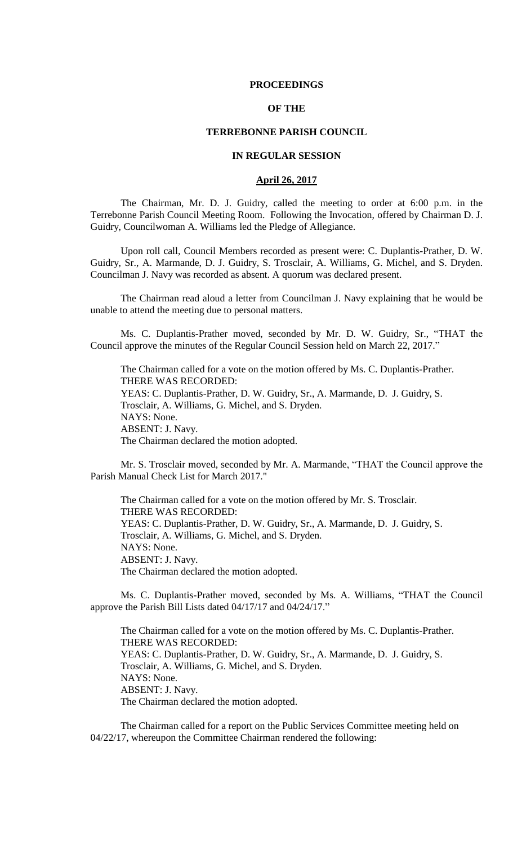### **PROCEEDINGS**

# **OF THE**

## **TERREBONNE PARISH COUNCIL**

# **IN REGULAR SESSION**

## **April 26, 2017**

The Chairman, Mr. D. J. Guidry, called the meeting to order at 6:00 p.m. in the Terrebonne Parish Council Meeting Room. Following the Invocation, offered by Chairman D. J. Guidry, Councilwoman A. Williams led the Pledge of Allegiance.

Upon roll call, Council Members recorded as present were: C. Duplantis-Prather, D. W. Guidry, Sr., A. Marmande, D. J. Guidry, S. Trosclair, A. Williams, G. Michel, and S. Dryden. Councilman J. Navy was recorded as absent. A quorum was declared present.

The Chairman read aloud a letter from Councilman J. Navy explaining that he would be unable to attend the meeting due to personal matters.

Ms. C. Duplantis-Prather moved, seconded by Mr. D. W. Guidry, Sr., "THAT the Council approve the minutes of the Regular Council Session held on March 22, 2017."

The Chairman called for a vote on the motion offered by Ms. C. Duplantis-Prather. THERE WAS RECORDED: YEAS: C. Duplantis-Prather, D. W. Guidry, Sr., A. Marmande, D. J. Guidry, S. Trosclair, A. Williams, G. Michel, and S. Dryden. NAYS: None. ABSENT: J. Navy. The Chairman declared the motion adopted.

Mr. S. Trosclair moved, seconded by Mr. A. Marmande, "THAT the Council approve the Parish Manual Check List for March 2017."

The Chairman called for a vote on the motion offered by Mr. S. Trosclair. THERE WAS RECORDED: YEAS: C. Duplantis-Prather, D. W. Guidry, Sr., A. Marmande, D. J. Guidry, S. Trosclair, A. Williams, G. Michel, and S. Dryden. NAYS: None. ABSENT: J. Navy. The Chairman declared the motion adopted.

Ms. C. Duplantis-Prather moved, seconded by Ms. A. Williams, "THAT the Council approve the Parish Bill Lists dated 04/17/17 and 04/24/17."

The Chairman called for a vote on the motion offered by Ms. C. Duplantis-Prather. THERE WAS RECORDED: YEAS: C. Duplantis-Prather, D. W. Guidry, Sr., A. Marmande, D. J. Guidry, S. Trosclair, A. Williams, G. Michel, and S. Dryden. NAYS: None. ABSENT: J. Navy. The Chairman declared the motion adopted.

The Chairman called for a report on the Public Services Committee meeting held on 04/22/17, whereupon the Committee Chairman rendered the following: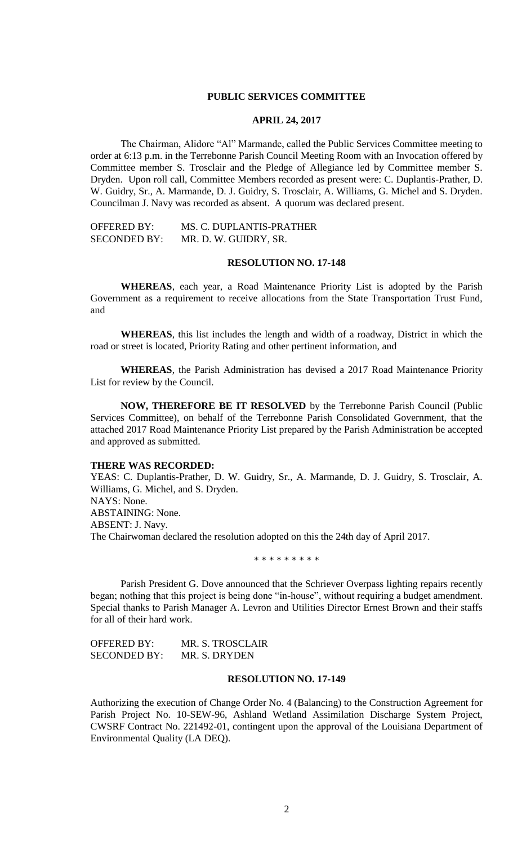## **PUBLIC SERVICES COMMITTEE**

#### **APRIL 24, 2017**

The Chairman, Alidore "Al" Marmande, called the Public Services Committee meeting to order at 6:13 p.m. in the Terrebonne Parish Council Meeting Room with an Invocation offered by Committee member S. Trosclair and the Pledge of Allegiance led by Committee member S. Dryden. Upon roll call, Committee Members recorded as present were: C. Duplantis-Prather, D. W. Guidry, Sr., A. Marmande, D. J. Guidry, S. Trosclair, A. Williams, G. Michel and S. Dryden. Councilman J. Navy was recorded as absent. A quorum was declared present.

OFFERED BY: MS. C. DUPLANTIS-PRATHER SECONDED BY: MR. D. W. GUIDRY, SR.

# **RESOLUTION NO. 17-148**

**WHEREAS**, each year, a Road Maintenance Priority List is adopted by the Parish Government as a requirement to receive allocations from the State Transportation Trust Fund, and

**WHEREAS**, this list includes the length and width of a roadway, District in which the road or street is located, Priority Rating and other pertinent information, and

**WHEREAS**, the Parish Administration has devised a 2017 Road Maintenance Priority List for review by the Council.

**NOW, THEREFORE BE IT RESOLVED** by the Terrebonne Parish Council (Public Services Committee), on behalf of the Terrebonne Parish Consolidated Government, that the attached 2017 Road Maintenance Priority List prepared by the Parish Administration be accepted and approved as submitted.

#### **THERE WAS RECORDED:**

YEAS: C. Duplantis-Prather, D. W. Guidry, Sr., A. Marmande, D. J. Guidry, S. Trosclair, A. Williams, G. Michel, and S. Dryden. NAYS: None. ABSTAINING: None. ABSENT: J. Navy. The Chairwoman declared the resolution adopted on this the 24th day of April 2017.

\* \* \* \* \* \* \* \* \*

Parish President G. Dove announced that the Schriever Overpass lighting repairs recently began; nothing that this project is being done "in-house", without requiring a budget amendment. Special thanks to Parish Manager A. Levron and Utilities Director Ernest Brown and their staffs for all of their hard work.

OFFERED BY: MR. S. TROSCLAIR SECONDED BY: MR. S. DRYDEN

# **RESOLUTION NO. 17-149**

Authorizing the execution of Change Order No. 4 (Balancing) to the Construction Agreement for Parish Project No. 10-SEW-96, Ashland Wetland Assimilation Discharge System Project, CWSRF Contract No. 221492-01, contingent upon the approval of the Louisiana Department of Environmental Quality (LA DEQ).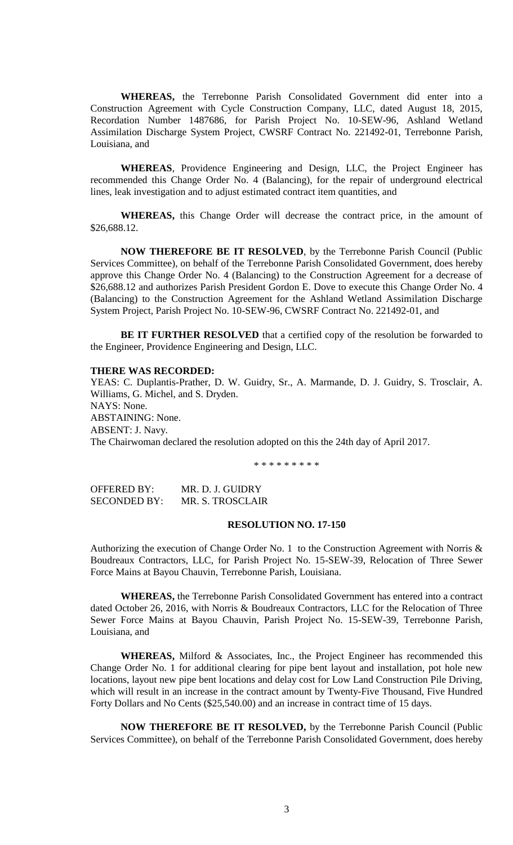**WHEREAS,** the Terrebonne Parish Consolidated Government did enter into a Construction Agreement with Cycle Construction Company, LLC, dated August 18, 2015, Recordation Number 1487686, for Parish Project No. 10-SEW-96, Ashland Wetland Assimilation Discharge System Project, CWSRF Contract No. 221492-01, Terrebonne Parish, Louisiana, and

**WHEREAS**, Providence Engineering and Design, LLC, the Project Engineer has recommended this Change Order No. 4 (Balancing), for the repair of underground electrical lines, leak investigation and to adjust estimated contract item quantities, and

**WHEREAS,** this Change Order will decrease the contract price, in the amount of \$26,688.12.

**NOW THEREFORE BE IT RESOLVED**, by the Terrebonne Parish Council (Public Services Committee), on behalf of the Terrebonne Parish Consolidated Government, does hereby approve this Change Order No. 4 (Balancing) to the Construction Agreement for a decrease of \$26,688.12 and authorizes Parish President Gordon E. Dove to execute this Change Order No. 4 (Balancing) to the Construction Agreement for the Ashland Wetland Assimilation Discharge System Project, Parish Project No. 10-SEW-96, CWSRF Contract No. 221492-01, and

**BE IT FURTHER RESOLVED** that a certified copy of the resolution be forwarded to the Engineer, Providence Engineering and Design, LLC.

# **THERE WAS RECORDED:**

YEAS: C. Duplantis-Prather, D. W. Guidry, Sr., A. Marmande, D. J. Guidry, S. Trosclair, A. Williams, G. Michel, and S. Dryden. NAYS: None. ABSTAINING: None. ABSENT: J. Navy. The Chairwoman declared the resolution adopted on this the 24th day of April 2017.

\* \* \* \* \* \* \* \* \*

OFFERED BY: MR. D. J. GUIDRY SECONDED BY: MR. S. TROSCLAIR

### **RESOLUTION NO. 17-150**

Authorizing the execution of Change Order No. 1 to the Construction Agreement with Norris & Boudreaux Contractors, LLC, for Parish Project No. 15-SEW-39, Relocation of Three Sewer Force Mains at Bayou Chauvin, Terrebonne Parish, Louisiana.

**WHEREAS,** the Terrebonne Parish Consolidated Government has entered into a contract dated October 26, 2016, with Norris & Boudreaux Contractors, LLC for the Relocation of Three Sewer Force Mains at Bayou Chauvin, Parish Project No. 15-SEW-39, Terrebonne Parish, Louisiana, and

**WHEREAS,** Milford & Associates, Inc., the Project Engineer has recommended this Change Order No. 1 for additional clearing for pipe bent layout and installation, pot hole new locations, layout new pipe bent locations and delay cost for Low Land Construction Pile Driving, which will result in an increase in the contract amount by Twenty-Five Thousand, Five Hundred Forty Dollars and No Cents (\$25,540.00) and an increase in contract time of 15 days.

**NOW THEREFORE BE IT RESOLVED,** by the Terrebonne Parish Council (Public Services Committee), on behalf of the Terrebonne Parish Consolidated Government, does hereby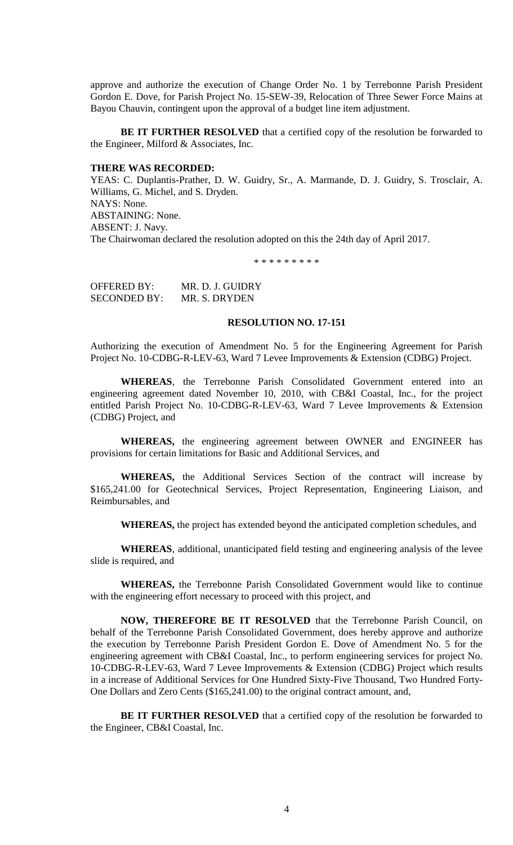approve and authorize the execution of Change Order No. 1 by Terrebonne Parish President Gordon E. Dove, for Parish Project No. 15-SEW-39, Relocation of Three Sewer Force Mains at Bayou Chauvin, contingent upon the approval of a budget line item adjustment.

**BE IT FURTHER RESOLVED** that a certified copy of the resolution be forwarded to the Engineer, Milford & Associates, Inc.

## **THERE WAS RECORDED:**

YEAS: C. Duplantis-Prather, D. W. Guidry, Sr., A. Marmande, D. J. Guidry, S. Trosclair, A. Williams, G. Michel, and S. Dryden. NAYS: None. ABSTAINING: None. ABSENT: J. Navy. The Chairwoman declared the resolution adopted on this the 24th day of April 2017.

\* \* \* \* \* \* \* \* \*

OFFERED BY: MR. D. J. GUIDRY SECONDED BY: MR. S. DRYDEN

### **RESOLUTION NO. 17-151**

Authorizing the execution of Amendment No. 5 for the Engineering Agreement for Parish Project No. 10-CDBG-R-LEV-63, Ward 7 Levee Improvements & Extension (CDBG) Project.

**WHEREAS**, the Terrebonne Parish Consolidated Government entered into an engineering agreement dated November 10, 2010, with CB&I Coastal, Inc., for the project entitled Parish Project No. 10-CDBG-R-LEV-63, Ward 7 Levee Improvements & Extension (CDBG) Project, and

**WHEREAS,** the engineering agreement between OWNER and ENGINEER has provisions for certain limitations for Basic and Additional Services, and

**WHEREAS,** the Additional Services Section of the contract will increase by \$165,241.00 for Geotechnical Services, Project Representation, Engineering Liaison, and Reimbursables, and

**WHEREAS,** the project has extended beyond the anticipated completion schedules, and

**WHEREAS**, additional, unanticipated field testing and engineering analysis of the levee slide is required, and

**WHEREAS,** the Terrebonne Parish Consolidated Government would like to continue with the engineering effort necessary to proceed with this project, and

**NOW, THEREFORE BE IT RESOLVED** that the Terrebonne Parish Council, on behalf of the Terrebonne Parish Consolidated Government, does hereby approve and authorize the execution by Terrebonne Parish President Gordon E. Dove of Amendment No. 5 for the engineering agreement with CB&I Coastal, Inc., to perform engineering services for project No. 10-CDBG-R-LEV-63, Ward 7 Levee Improvements & Extension (CDBG) Project which results in a increase of Additional Services for One Hundred Sixty-Five Thousand, Two Hundred Forty-One Dollars and Zero Cents (\$165,241.00) to the original contract amount, and,

**BE IT FURTHER RESOLVED** that a certified copy of the resolution be forwarded to the Engineer, CB&I Coastal, Inc.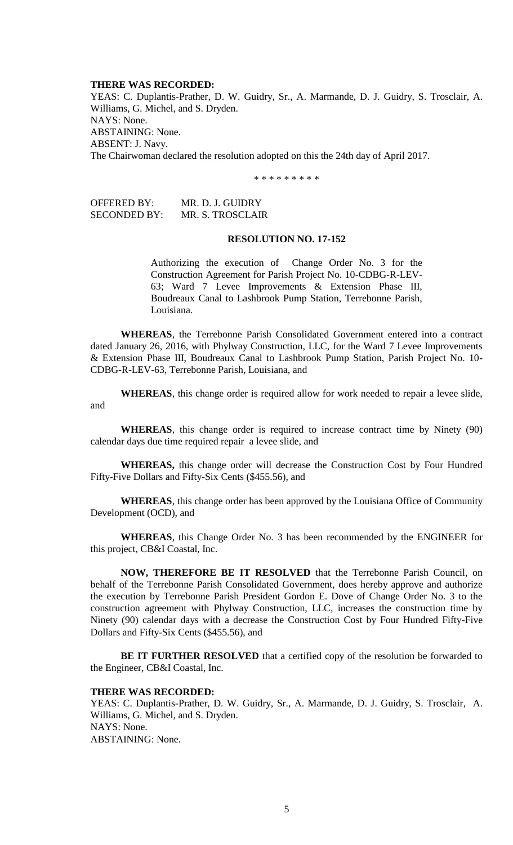### **THERE WAS RECORDED:**

YEAS: C. Duplantis-Prather, D. W. Guidry, Sr., A. Marmande, D. J. Guidry, S. Trosclair, A. Williams, G. Michel, and S. Dryden. NAYS: None. ABSTAINING: None. ABSENT: J. Navy. The Chairwoman declared the resolution adopted on this the 24th day of April 2017.

\* \* \* \* \* \* \* \* \*

OFFERED BY: MR. D. J. GUIDRY SECONDED BY: MR. S. TROSCLAIR

#### **RESOLUTION NO. 17-152**

Authorizing the execution of Change Order No. 3 for the Construction Agreement for Parish Project No. 10-CDBG-R-LEV-63; Ward 7 Levee Improvements & Extension Phase III, Boudreaux Canal to Lashbrook Pump Station, Terrebonne Parish, Louisiana.

**WHEREAS**, the Terrebonne Parish Consolidated Government entered into a contract dated January 26, 2016, with Phylway Construction, LLC, for the Ward 7 Levee Improvements & Extension Phase III, Boudreaux Canal to Lashbrook Pump Station, Parish Project No. 10- CDBG-R-LEV-63, Terrebonne Parish, Louisiana, and

**WHEREAS**, this change order is required allow for work needed to repair a levee slide, and

**WHEREAS**, this change order is required to increase contract time by Ninety (90) calendar days due time required repair a levee slide, and

**WHEREAS,** this change order will decrease the Construction Cost by Four Hundred Fifty-Five Dollars and Fifty-Six Cents (\$455.56), and

**WHEREAS**, this change order has been approved by the Louisiana Office of Community Development (OCD), and

**WHEREAS**, this Change Order No. 3 has been recommended by the ENGINEER for this project, CB&I Coastal, Inc.

**NOW, THEREFORE BE IT RESOLVED** that the Terrebonne Parish Council, on behalf of the Terrebonne Parish Consolidated Government, does hereby approve and authorize the execution by Terrebonne Parish President Gordon E. Dove of Change Order No. 3 to the construction agreement with Phylway Construction, LLC, increases the construction time by Ninety (90) calendar days with a decrease the Construction Cost by Four Hundred Fifty-Five Dollars and Fifty-Six Cents (\$455.56), and

**BE IT FURTHER RESOLVED** that a certified copy of the resolution be forwarded to the Engineer, CB&I Coastal, Inc.

#### **THERE WAS RECORDED:**

YEAS: C. Duplantis-Prather, D. W. Guidry, Sr., A. Marmande, D. J. Guidry, S. Trosclair, A. Williams, G. Michel, and S. Dryden. NAYS: None. ABSTAINING: None.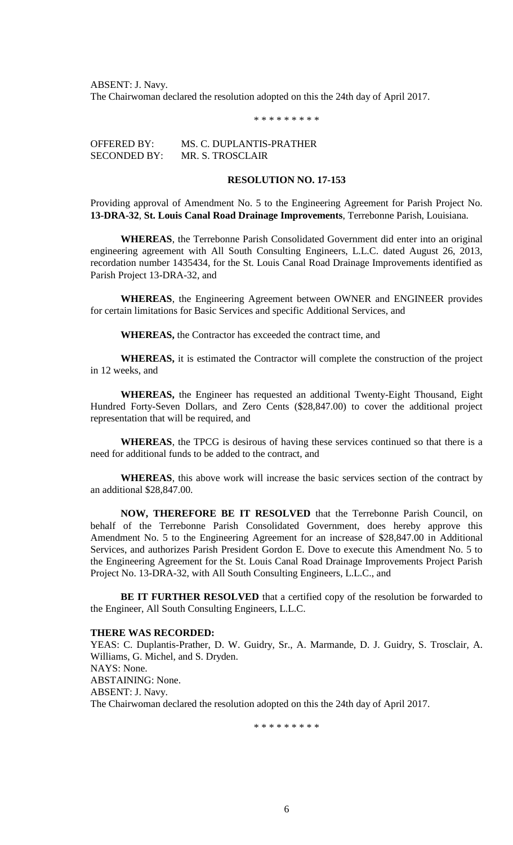ABSENT: J. Navy. The Chairwoman declared the resolution adopted on this the 24th day of April 2017.

\* \* \* \* \* \* \* \* \*

OFFERED BY: MS. C. DUPLANTIS-PRATHER SECONDED BY: MR. S. TROSCLAIR

## **RESOLUTION NO. 17-153**

Providing approval of Amendment No. 5 to the Engineering Agreement for Parish Project No. **13-DRA-32**, **St. Louis Canal Road Drainage Improvements**, Terrebonne Parish, Louisiana.

**WHEREAS**, the Terrebonne Parish Consolidated Government did enter into an original engineering agreement with All South Consulting Engineers, L.L.C. dated August 26, 2013, recordation number 1435434, for the St. Louis Canal Road Drainage Improvements identified as Parish Project 13-DRA-32, and

**WHEREAS**, the Engineering Agreement between OWNER and ENGINEER provides for certain limitations for Basic Services and specific Additional Services, and

**WHEREAS,** the Contractor has exceeded the contract time, and

**WHEREAS,** it is estimated the Contractor will complete the construction of the project in 12 weeks, and

**WHEREAS,** the Engineer has requested an additional Twenty-Eight Thousand, Eight Hundred Forty-Seven Dollars, and Zero Cents (\$28,847.00) to cover the additional project representation that will be required, and

**WHEREAS**, the TPCG is desirous of having these services continued so that there is a need for additional funds to be added to the contract, and

**WHEREAS**, this above work will increase the basic services section of the contract by an additional \$28,847.00.

**NOW, THEREFORE BE IT RESOLVED** that the Terrebonne Parish Council, on behalf of the Terrebonne Parish Consolidated Government, does hereby approve this Amendment No. 5 to the Engineering Agreement for an increase of \$28,847.00 in Additional Services, and authorizes Parish President Gordon E. Dove to execute this Amendment No. 5 to the Engineering Agreement for the St. Louis Canal Road Drainage Improvements Project Parish Project No. 13-DRA-32, with All South Consulting Engineers, L.L.C., and

**BE IT FURTHER RESOLVED** that a certified copy of the resolution be forwarded to the Engineer, All South Consulting Engineers, L.L.C.

#### **THERE WAS RECORDED:**

YEAS: C. Duplantis-Prather, D. W. Guidry, Sr., A. Marmande, D. J. Guidry, S. Trosclair, A. Williams, G. Michel, and S. Dryden. NAYS: None. ABSTAINING: None. ABSENT: J. Navy. The Chairwoman declared the resolution adopted on this the 24th day of April 2017.

\* \* \* \* \* \* \* \* \*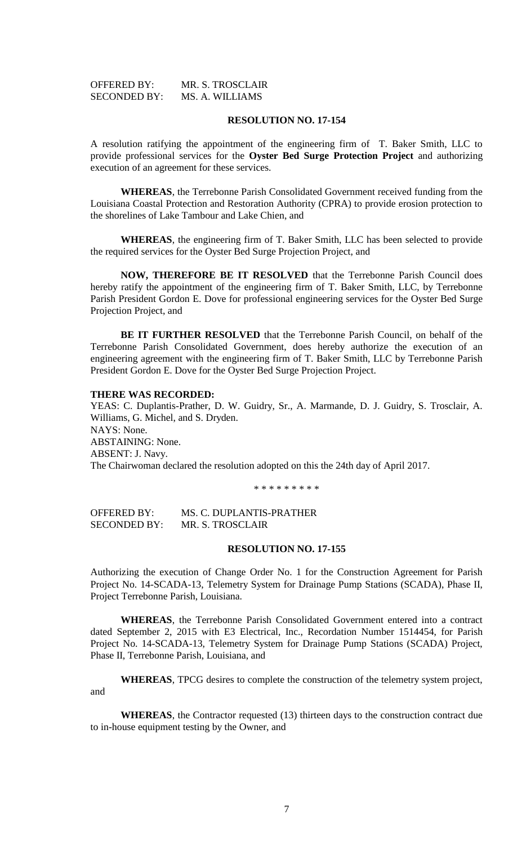| <b>OFFERED BY:</b>  | MR. S. TROSCLAIR |
|---------------------|------------------|
| <b>SECONDED BY:</b> | MS. A. WILLIAMS  |

### **RESOLUTION NO. 17-154**

A resolution ratifying the appointment of the engineering firm of T. Baker Smith, LLC to provide professional services for the **Oyster Bed Surge Protection Project** and authorizing execution of an agreement for these services.

**WHEREAS**, the Terrebonne Parish Consolidated Government received funding from the Louisiana Coastal Protection and Restoration Authority (CPRA) to provide erosion protection to the shorelines of Lake Tambour and Lake Chien, and

**WHEREAS**, the engineering firm of T. Baker Smith, LLC has been selected to provide the required services for the Oyster Bed Surge Projection Project, and

**NOW, THEREFORE BE IT RESOLVED** that the Terrebonne Parish Council does hereby ratify the appointment of the engineering firm of T. Baker Smith, LLC, by Terrebonne Parish President Gordon E. Dove for professional engineering services for the Oyster Bed Surge Projection Project, and

**BE IT FURTHER RESOLVED** that the Terrebonne Parish Council, on behalf of the Terrebonne Parish Consolidated Government, does hereby authorize the execution of an engineering agreement with the engineering firm of T. Baker Smith, LLC by Terrebonne Parish President Gordon E. Dove for the Oyster Bed Surge Projection Project.

### **THERE WAS RECORDED:**

YEAS: C. Duplantis-Prather, D. W. Guidry, Sr., A. Marmande, D. J. Guidry, S. Trosclair, A. Williams, G. Michel, and S. Dryden. NAYS: None. ABSTAINING: None. ABSENT: J. Navy. The Chairwoman declared the resolution adopted on this the 24th day of April 2017.

\* \* \* \* \* \* \* \* \*

OFFERED BY: MS. C. DUPLANTIS-PRATHER SECONDED BY: MR. S. TROSCLAIR

## **RESOLUTION NO. 17-155**

Authorizing the execution of Change Order No. 1 for the Construction Agreement for Parish Project No. 14-SCADA-13, Telemetry System for Drainage Pump Stations (SCADA), Phase II, Project Terrebonne Parish, Louisiana.

**WHEREAS**, the Terrebonne Parish Consolidated Government entered into a contract dated September 2, 2015 with E3 Electrical, Inc., Recordation Number 1514454, for Parish Project No. 14-SCADA-13, Telemetry System for Drainage Pump Stations (SCADA) Project, Phase II, Terrebonne Parish, Louisiana, and

**WHEREAS**, TPCG desires to complete the construction of the telemetry system project, and

**WHEREAS**, the Contractor requested (13) thirteen days to the construction contract due to in-house equipment testing by the Owner, and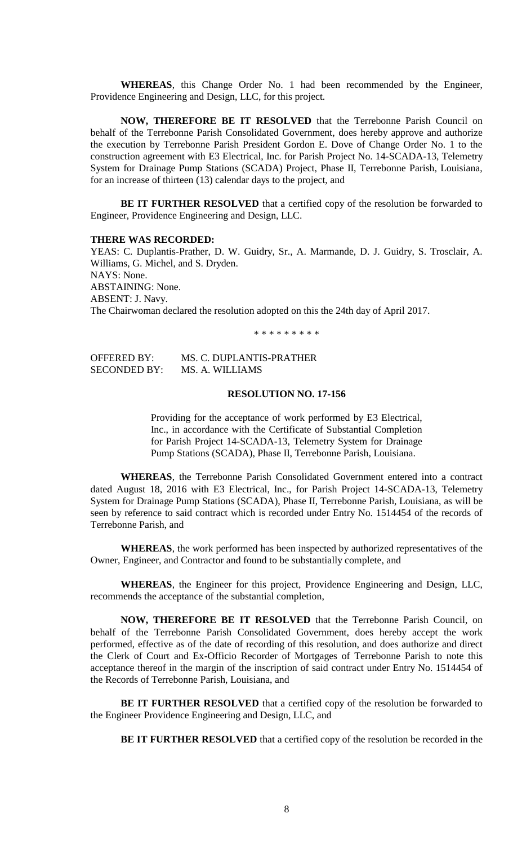**WHEREAS**, this Change Order No. 1 had been recommended by the Engineer, Providence Engineering and Design, LLC, for this project.

**NOW, THEREFORE BE IT RESOLVED** that the Terrebonne Parish Council on behalf of the Terrebonne Parish Consolidated Government, does hereby approve and authorize the execution by Terrebonne Parish President Gordon E. Dove of Change Order No. 1 to the construction agreement with E3 Electrical, Inc. for Parish Project No. 14-SCADA-13, Telemetry System for Drainage Pump Stations (SCADA) Project, Phase II, Terrebonne Parish, Louisiana, for an increase of thirteen (13) calendar days to the project, and

**BE IT FURTHER RESOLVED** that a certified copy of the resolution be forwarded to Engineer, Providence Engineering and Design, LLC.

### **THERE WAS RECORDED:**

YEAS: C. Duplantis-Prather, D. W. Guidry, Sr., A. Marmande, D. J. Guidry, S. Trosclair, A. Williams, G. Michel, and S. Dryden. NAYS: None. ABSTAINING: None. ABSENT: J. Navy. The Chairwoman declared the resolution adopted on this the 24th day of April 2017.

\* \* \* \* \* \* \* \* \*

| <b>OFFERED BY:</b>  | MS. C. DUPLANTIS-PRATHER |
|---------------------|--------------------------|
| <b>SECONDED BY:</b> | MS. A. WILLIAMS          |

## **RESOLUTION NO. 17-156**

Providing for the acceptance of work performed by E3 Electrical, Inc., in accordance with the Certificate of Substantial Completion for Parish Project 14-SCADA-13, Telemetry System for Drainage Pump Stations (SCADA), Phase II, Terrebonne Parish, Louisiana.

**WHEREAS**, the Terrebonne Parish Consolidated Government entered into a contract dated August 18, 2016 with E3 Electrical, Inc., for Parish Project 14-SCADA-13, Telemetry System for Drainage Pump Stations (SCADA), Phase II, Terrebonne Parish, Louisiana, as will be seen by reference to said contract which is recorded under Entry No. 1514454 of the records of Terrebonne Parish, and

**WHEREAS**, the work performed has been inspected by authorized representatives of the Owner, Engineer, and Contractor and found to be substantially complete, and

**WHEREAS**, the Engineer for this project, Providence Engineering and Design, LLC, recommends the acceptance of the substantial completion,

**NOW, THEREFORE BE IT RESOLVED** that the Terrebonne Parish Council, on behalf of the Terrebonne Parish Consolidated Government, does hereby accept the work performed, effective as of the date of recording of this resolution, and does authorize and direct the Clerk of Court and Ex-Officio Recorder of Mortgages of Terrebonne Parish to note this acceptance thereof in the margin of the inscription of said contract under Entry No. 1514454 of the Records of Terrebonne Parish, Louisiana, and

**BE IT FURTHER RESOLVED** that a certified copy of the resolution be forwarded to the Engineer Providence Engineering and Design, LLC, and

**BE IT FURTHER RESOLVED** that a certified copy of the resolution be recorded in the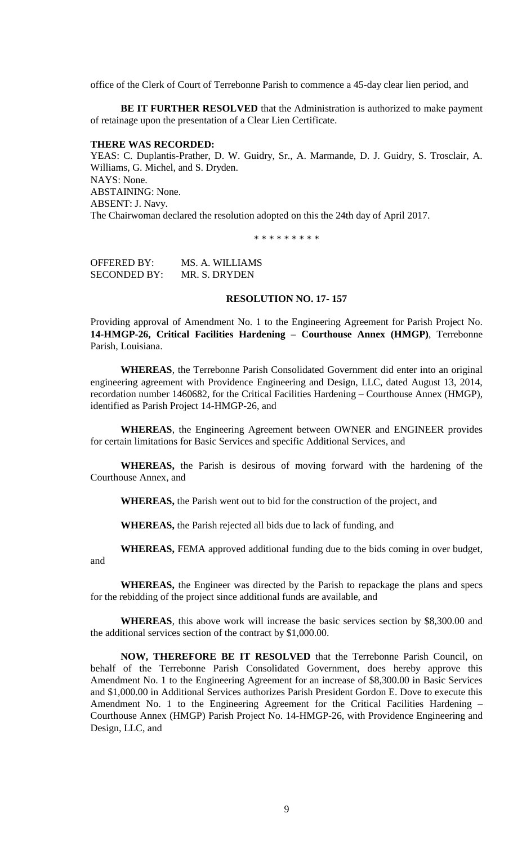office of the Clerk of Court of Terrebonne Parish to commence a 45-day clear lien period, and

**BE IT FURTHER RESOLVED** that the Administration is authorized to make payment of retainage upon the presentation of a Clear Lien Certificate.

#### **THERE WAS RECORDED:**

YEAS: C. Duplantis-Prather, D. W. Guidry, Sr., A. Marmande, D. J. Guidry, S. Trosclair, A. Williams, G. Michel, and S. Dryden. NAYS: None. ABSTAINING: None. ABSENT: J. Navy. The Chairwoman declared the resolution adopted on this the 24th day of April 2017.

\* \* \* \* \* \* \* \* \*

OFFERED BY: MS. A. WILLIAMS SECONDED BY: MR. S. DRYDEN

### **RESOLUTION NO. 17- 157**

Providing approval of Amendment No. 1 to the Engineering Agreement for Parish Project No. **14-HMGP-26, Critical Facilities Hardening – Courthouse Annex (HMGP)**, Terrebonne Parish, Louisiana.

**WHEREAS**, the Terrebonne Parish Consolidated Government did enter into an original engineering agreement with Providence Engineering and Design, LLC, dated August 13, 2014, recordation number 1460682, for the Critical Facilities Hardening – Courthouse Annex (HMGP), identified as Parish Project 14-HMGP-26, and

**WHEREAS**, the Engineering Agreement between OWNER and ENGINEER provides for certain limitations for Basic Services and specific Additional Services, and

**WHEREAS,** the Parish is desirous of moving forward with the hardening of the Courthouse Annex, and

**WHEREAS,** the Parish went out to bid for the construction of the project, and

**WHEREAS,** the Parish rejected all bids due to lack of funding, and

**WHEREAS,** FEMA approved additional funding due to the bids coming in over budget, and

**WHEREAS,** the Engineer was directed by the Parish to repackage the plans and specs for the rebidding of the project since additional funds are available, and

**WHEREAS**, this above work will increase the basic services section by \$8,300.00 and the additional services section of the contract by \$1,000.00.

**NOW, THEREFORE BE IT RESOLVED** that the Terrebonne Parish Council, on behalf of the Terrebonne Parish Consolidated Government, does hereby approve this Amendment No. 1 to the Engineering Agreement for an increase of \$8,300.00 in Basic Services and \$1,000.00 in Additional Services authorizes Parish President Gordon E. Dove to execute this Amendment No. 1 to the Engineering Agreement for the Critical Facilities Hardening – Courthouse Annex (HMGP) Parish Project No. 14-HMGP-26, with Providence Engineering and Design, LLC, and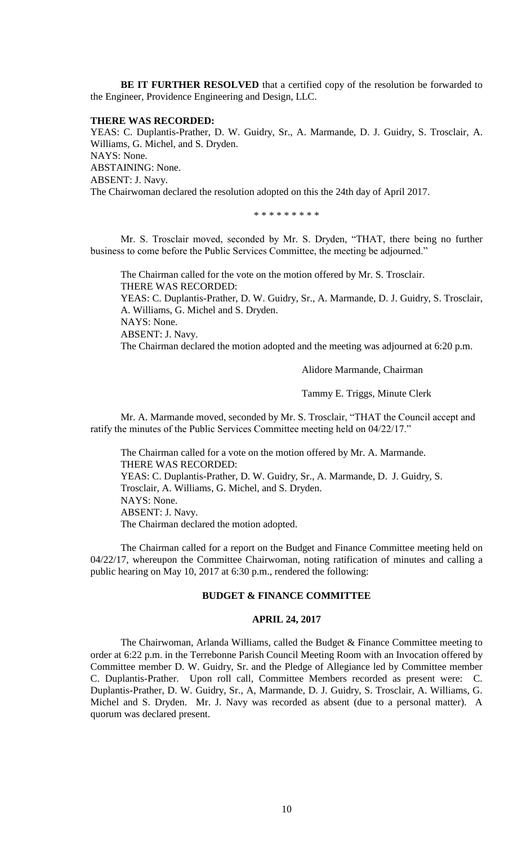**BE IT FURTHER RESOLVED** that a certified copy of the resolution be forwarded to the Engineer, Providence Engineering and Design, LLC.

### **THERE WAS RECORDED:**

YEAS: C. Duplantis-Prather, D. W. Guidry, Sr., A. Marmande, D. J. Guidry, S. Trosclair, A. Williams, G. Michel, and S. Dryden. NAYS: None. ABSTAINING: None. ABSENT: J. Navy. The Chairwoman declared the resolution adopted on this the 24th day of April 2017.

\* \* \* \* \* \* \* \* \*

Mr. S. Trosclair moved, seconded by Mr. S. Dryden, "THAT, there being no further business to come before the Public Services Committee, the meeting be adjourned."

The Chairman called for the vote on the motion offered by Mr. S. Trosclair. THERE WAS RECORDED:

YEAS: C. Duplantis-Prather, D. W. Guidry, Sr., A. Marmande, D. J. Guidry, S. Trosclair, A. Williams, G. Michel and S. Dryden.

NAYS: None.

ABSENT: J. Navy.

The Chairman declared the motion adopted and the meeting was adjourned at 6:20 p.m.

Alidore Marmande, Chairman

Tammy E. Triggs, Minute Clerk

Mr. A. Marmande moved, seconded by Mr. S. Trosclair, "THAT the Council accept and ratify the minutes of the Public Services Committee meeting held on 04/22/17."

The Chairman called for a vote on the motion offered by Mr. A. Marmande. THERE WAS RECORDED: YEAS: C. Duplantis-Prather, D. W. Guidry, Sr., A. Marmande, D. J. Guidry, S. Trosclair, A. Williams, G. Michel, and S. Dryden. NAYS: None. ABSENT: J. Navy. The Chairman declared the motion adopted.

The Chairman called for a report on the Budget and Finance Committee meeting held on 04/22/17, whereupon the Committee Chairwoman, noting ratification of minutes and calling a public hearing on May 10, 2017 at 6:30 p.m., rendered the following:

### **BUDGET & FINANCE COMMITTEE**

### **APRIL 24, 2017**

The Chairwoman, Arlanda Williams, called the Budget & Finance Committee meeting to order at 6:22 p.m. in the Terrebonne Parish Council Meeting Room with an Invocation offered by Committee member D. W. Guidry, Sr. and the Pledge of Allegiance led by Committee member C. Duplantis-Prather. Upon roll call, Committee Members recorded as present were: C. Duplantis-Prather, D. W. Guidry, Sr., A, Marmande, D. J. Guidry, S. Trosclair, A. Williams, G. Michel and S. Dryden. Mr. J. Navy was recorded as absent (due to a personal matter). A quorum was declared present.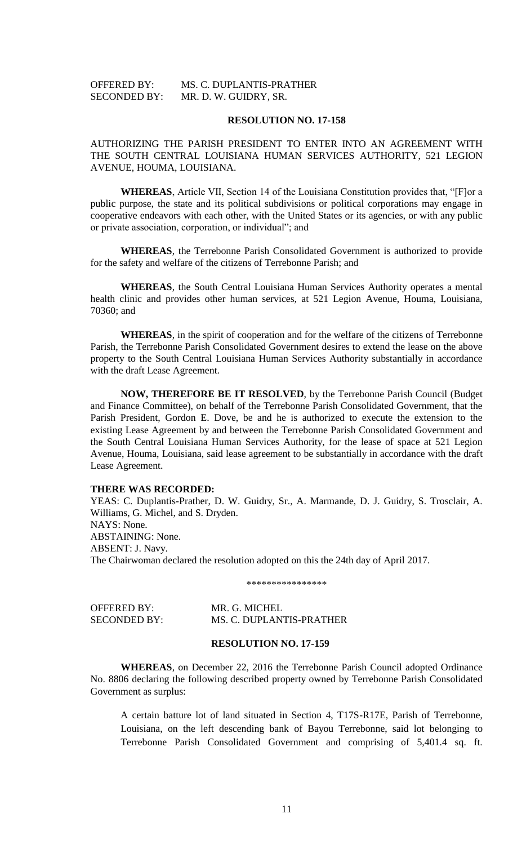# OFFERED BY: MS. C. DUPLANTIS-PRATHER SECONDED BY: MR. D. W. GUIDRY, SR.

### **RESOLUTION NO. 17-158**

AUTHORIZING THE PARISH PRESIDENT TO ENTER INTO AN AGREEMENT WITH THE SOUTH CENTRAL LOUISIANA HUMAN SERVICES AUTHORITY, 521 LEGION AVENUE, HOUMA, LOUISIANA.

**WHEREAS**, Article VII, Section 14 of the Louisiana Constitution provides that, "[F]or a public purpose, the state and its political subdivisions or political corporations may engage in cooperative endeavors with each other, with the United States or its agencies, or with any public or private association, corporation, or individual"; and

**WHEREAS**, the Terrebonne Parish Consolidated Government is authorized to provide for the safety and welfare of the citizens of Terrebonne Parish; and

**WHEREAS**, the South Central Louisiana Human Services Authority operates a mental health clinic and provides other human services, at 521 Legion Avenue, Houma, Louisiana, 70360; and

**WHEREAS**, in the spirit of cooperation and for the welfare of the citizens of Terrebonne Parish, the Terrebonne Parish Consolidated Government desires to extend the lease on the above property to the South Central Louisiana Human Services Authority substantially in accordance with the draft Lease Agreement.

**NOW, THEREFORE BE IT RESOLVED**, by the Terrebonne Parish Council (Budget and Finance Committee), on behalf of the Terrebonne Parish Consolidated Government, that the Parish President, Gordon E. Dove, be and he is authorized to execute the extension to the existing Lease Agreement by and between the Terrebonne Parish Consolidated Government and the South Central Louisiana Human Services Authority, for the lease of space at 521 Legion Avenue, Houma, Louisiana, said lease agreement to be substantially in accordance with the draft Lease Agreement.

## **THERE WAS RECORDED:**

YEAS: C. Duplantis-Prather, D. W. Guidry, Sr., A. Marmande, D. J. Guidry, S. Trosclair, A. Williams, G. Michel, and S. Dryden. NAYS: None. ABSTAINING: None. ABSENT: J. Navy. The Chairwoman declared the resolution adopted on this the 24th day of April 2017.

\*\*\*\*\*\*\*\*\*\*\*\*\*\*\*\*

| OFFERED BY:         | MR. G. MICHEL            |
|---------------------|--------------------------|
| <b>SECONDED BY:</b> | MS. C. DUPLANTIS-PRATHER |

## **RESOLUTION NO. 17-159**

**WHEREAS**, on December 22, 2016 the Terrebonne Parish Council adopted Ordinance No. 8806 declaring the following described property owned by Terrebonne Parish Consolidated Government as surplus:

A certain batture lot of land situated in Section 4, T17S-R17E, Parish of Terrebonne, Louisiana, on the left descending bank of Bayou Terrebonne, said lot belonging to Terrebonne Parish Consolidated Government and comprising of 5,401.4 sq. ft.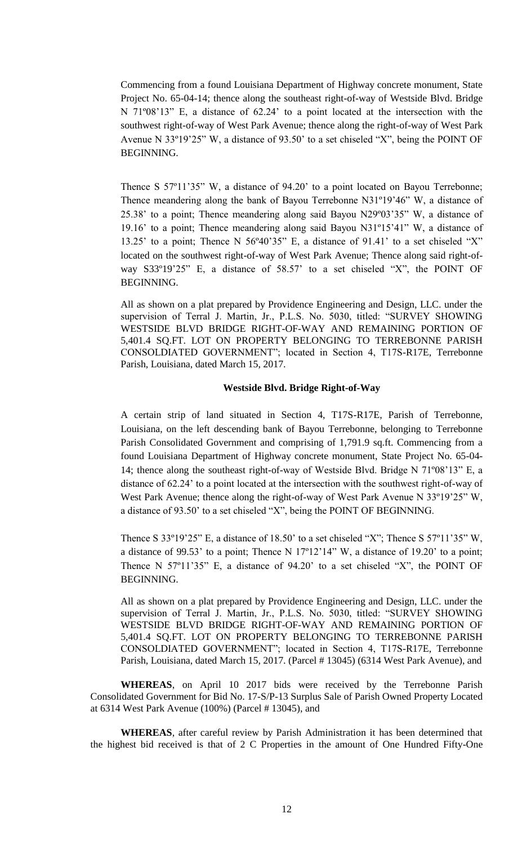Commencing from a found Louisiana Department of Highway concrete monument, State Project No. 65-04-14; thence along the southeast right-of-way of Westside Blvd. Bridge N 71º08'13" E, a distance of 62.24' to a point located at the intersection with the southwest right-of-way of West Park Avenue; thence along the right-of-way of West Park Avenue N 33º19'25" W, a distance of 93.50' to a set chiseled "X", being the POINT OF BEGINNING.

Thence S 57º11'35" W, a distance of 94.20' to a point located on Bayou Terrebonne; Thence meandering along the bank of Bayou Terrebonne N31º19'46" W, a distance of 25.38' to a point; Thence meandering along said Bayou N29º03'35" W, a distance of 19.16' to a point; Thence meandering along said Bayou N31º15'41" W, a distance of 13.25' to a point; Thence N 56º40'35" E, a distance of 91.41' to a set chiseled "X" located on the southwest right-of-way of West Park Avenue; Thence along said right-ofway S33º19'25" E, a distance of 58.57' to a set chiseled "X", the POINT OF BEGINNING.

All as shown on a plat prepared by Providence Engineering and Design, LLC. under the supervision of Terral J. Martin, Jr., P.L.S. No. 5030, titled: "SURVEY SHOWING WESTSIDE BLVD BRIDGE RIGHT-OF-WAY AND REMAINING PORTION OF 5,401.4 SQ.FT. LOT ON PROPERTY BELONGING TO TERREBONNE PARISH CONSOLDIATED GOVERNMENT"; located in Section 4, T17S-R17E, Terrebonne Parish, Louisiana, dated March 15, 2017.

## **Westside Blvd. Bridge Right-of-Way**

A certain strip of land situated in Section 4, T17S-R17E, Parish of Terrebonne, Louisiana, on the left descending bank of Bayou Terrebonne, belonging to Terrebonne Parish Consolidated Government and comprising of 1,791.9 sq.ft. Commencing from a found Louisiana Department of Highway concrete monument, State Project No. 65-04- 14; thence along the southeast right-of-way of Westside Blvd. Bridge N 71º08'13" E, a distance of 62.24' to a point located at the intersection with the southwest right-of-way of West Park Avenue; thence along the right-of-way of West Park Avenue N 33°19'25" W, a distance of 93.50' to a set chiseled "X", being the POINT OF BEGINNING.

Thence S 33°19'25" E, a distance of 18.50' to a set chiseled "X"; Thence S 57°11'35" W, a distance of 99.53' to a point; Thence N 17º12'14" W, a distance of 19.20' to a point; Thence N 57º11'35" E, a distance of 94.20' to a set chiseled "X", the POINT OF BEGINNING.

All as shown on a plat prepared by Providence Engineering and Design, LLC. under the supervision of Terral J. Martin, Jr., P.L.S. No. 5030, titled: "SURVEY SHOWING WESTSIDE BLVD BRIDGE RIGHT-OF-WAY AND REMAINING PORTION OF 5,401.4 SQ.FT. LOT ON PROPERTY BELONGING TO TERREBONNE PARISH CONSOLDIATED GOVERNMENT"; located in Section 4, T17S-R17E, Terrebonne Parish, Louisiana, dated March 15, 2017. (Parcel # 13045) (6314 West Park Avenue), and

**WHEREAS**, on April 10 2017 bids were received by the Terrebonne Parish Consolidated Government for Bid No. 17-S/P-13 Surplus Sale of Parish Owned Property Located at 6314 West Park Avenue (100%) (Parcel # 13045), and

**WHEREAS**, after careful review by Parish Administration it has been determined that the highest bid received is that of 2 C Properties in the amount of One Hundred Fifty-One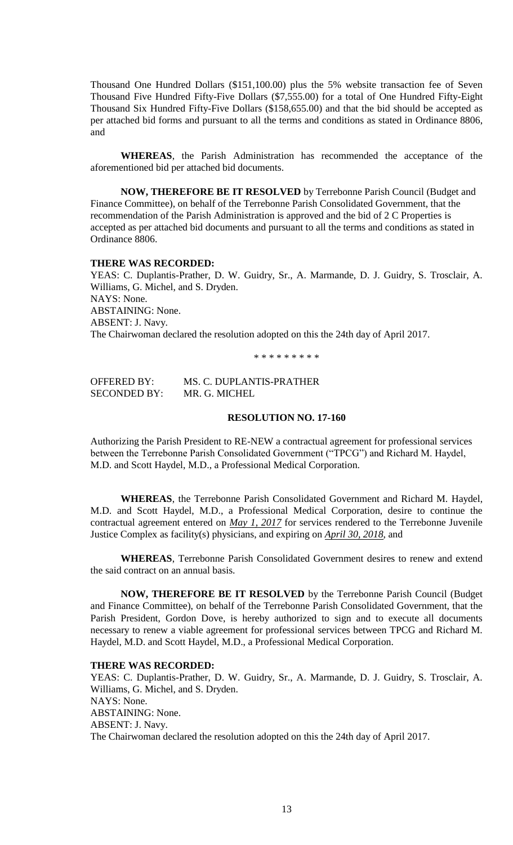Thousand One Hundred Dollars (\$151,100.00) plus the 5% website transaction fee of Seven Thousand Five Hundred Fifty-Five Dollars (\$7,555.00) for a total of One Hundred Fifty-Eight Thousand Six Hundred Fifty-Five Dollars (\$158,655.00) and that the bid should be accepted as per attached bid forms and pursuant to all the terms and conditions as stated in Ordinance 8806, and

**WHEREAS**, the Parish Administration has recommended the acceptance of the aforementioned bid per attached bid documents.

**NOW, THEREFORE BE IT RESOLVED** by Terrebonne Parish Council (Budget and Finance Committee), on behalf of the Terrebonne Parish Consolidated Government, that the recommendation of the Parish Administration is approved and the bid of 2 C Properties is accepted as per attached bid documents and pursuant to all the terms and conditions as stated in Ordinance 8806.

### **THERE WAS RECORDED:**

YEAS: C. Duplantis-Prather, D. W. Guidry, Sr., A. Marmande, D. J. Guidry, S. Trosclair, A. Williams, G. Michel, and S. Dryden. NAYS: None. ABSTAINING: None. ABSENT: J. Navy. The Chairwoman declared the resolution adopted on this the 24th day of April 2017.

\* \* \* \* \* \* \* \* \*

OFFERED BY: MS. C. DUPLANTIS-PRATHER SECONDED BY: MR. G. MICHEL

## **RESOLUTION NO. 17-160**

Authorizing the Parish President to RE-NEW a contractual agreement for professional services between the Terrebonne Parish Consolidated Government ("TPCG") and Richard M. Haydel, M.D. and Scott Haydel, M.D., a Professional Medical Corporation.

**WHEREAS**, the Terrebonne Parish Consolidated Government and Richard M. Haydel, M.D. and Scott Haydel, M.D., a Professional Medical Corporation, desire to continue the contractual agreement entered on *May 1, 2017* for services rendered to the Terrebonne Juvenile Justice Complex as facility(s) physicians, and expiring on *April 30, 2018*, and

**WHEREAS**, Terrebonne Parish Consolidated Government desires to renew and extend the said contract on an annual basis.

**NOW, THEREFORE BE IT RESOLVED** by the Terrebonne Parish Council (Budget and Finance Committee), on behalf of the Terrebonne Parish Consolidated Government, that the Parish President, Gordon Dove, is hereby authorized to sign and to execute all documents necessary to renew a viable agreement for professional services between TPCG and Richard M. Haydel, M.D. and Scott Haydel, M.D., a Professional Medical Corporation.

## **THERE WAS RECORDED:**

YEAS: C. Duplantis-Prather, D. W. Guidry, Sr., A. Marmande, D. J. Guidry, S. Trosclair, A. Williams, G. Michel, and S. Dryden. NAYS: None. ABSTAINING: None. ABSENT: J. Navy. The Chairwoman declared the resolution adopted on this the 24th day of April 2017.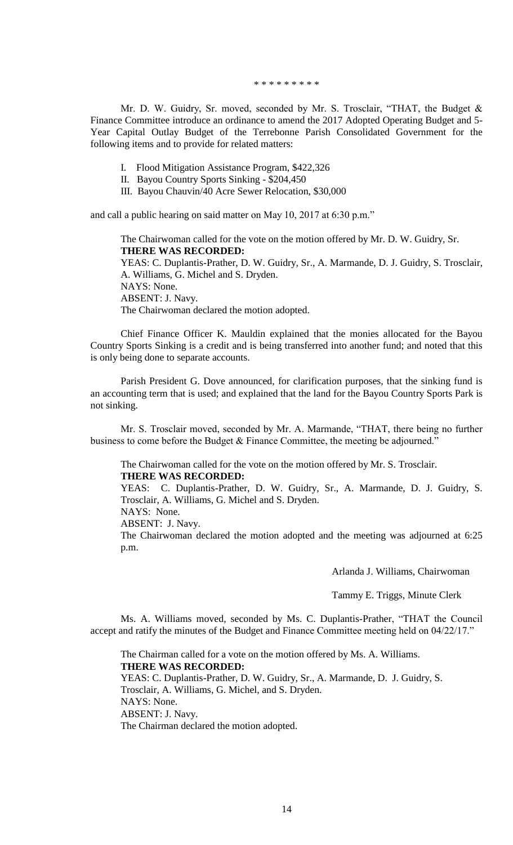\* \* \* \* \* \* \* \* \*

Mr. D. W. Guidry, Sr. moved, seconded by Mr. S. Trosclair, "THAT, the Budget & Finance Committee introduce an ordinance to amend the 2017 Adopted Operating Budget and 5- Year Capital Outlay Budget of the Terrebonne Parish Consolidated Government for the following items and to provide for related matters:

- I. Flood Mitigation Assistance Program, \$422,326
- II. Bayou Country Sports Sinking \$204,450
- III. Bayou Chauvin/40 Acre Sewer Relocation, \$30,000

and call a public hearing on said matter on May 10, 2017 at 6:30 p.m."

The Chairwoman called for the vote on the motion offered by Mr. D. W. Guidry, Sr. **THERE WAS RECORDED:**

YEAS: C. Duplantis-Prather, D. W. Guidry, Sr., A. Marmande, D. J. Guidry, S. Trosclair, A. Williams, G. Michel and S. Dryden.

NAYS: None. ABSENT: J. Navy. The Chairwoman declared the motion adopted.

Chief Finance Officer K. Mauldin explained that the monies allocated for the Bayou Country Sports Sinking is a credit and is being transferred into another fund; and noted that this is only being done to separate accounts.

Parish President G. Dove announced, for clarification purposes, that the sinking fund is an accounting term that is used; and explained that the land for the Bayou Country Sports Park is not sinking.

Mr. S. Trosclair moved, seconded by Mr. A. Marmande, "THAT, there being no further business to come before the Budget & Finance Committee, the meeting be adjourned."

The Chairwoman called for the vote on the motion offered by Mr. S. Trosclair. **THERE WAS RECORDED:**

YEAS: C. Duplantis-Prather, D. W. Guidry, Sr., A. Marmande, D. J. Guidry, S. Trosclair, A. Williams, G. Michel and S. Dryden.

NAYS: None.

ABSENT: J. Navy.

The Chairwoman declared the motion adopted and the meeting was adjourned at 6:25 p.m.

Arlanda J. Williams, Chairwoman

Tammy E. Triggs, Minute Clerk

Ms. A. Williams moved, seconded by Ms. C. Duplantis-Prather, "THAT the Council accept and ratify the minutes of the Budget and Finance Committee meeting held on 04/22/17."

The Chairman called for a vote on the motion offered by Ms. A. Williams. **THERE WAS RECORDED:** YEAS: C. Duplantis-Prather, D. W. Guidry, Sr., A. Marmande, D. J. Guidry, S. Trosclair, A. Williams, G. Michel, and S. Dryden. NAYS: None. ABSENT: J. Navy. The Chairman declared the motion adopted.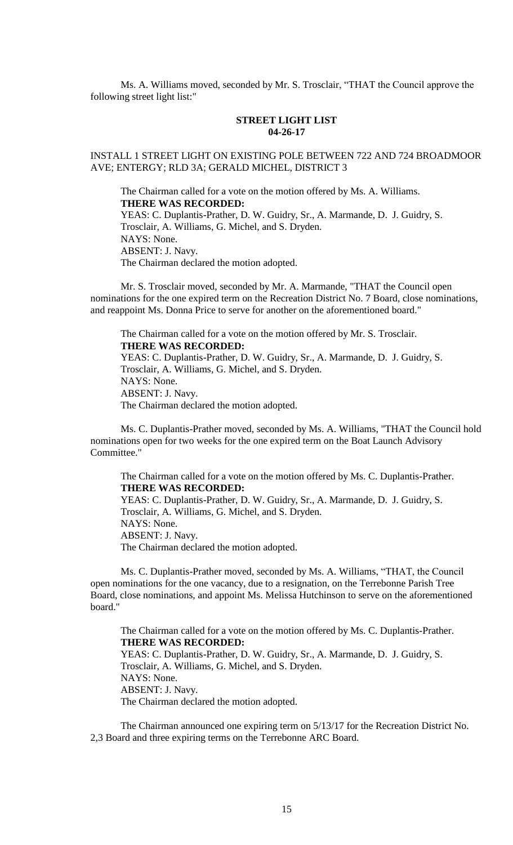Ms. A. Williams moved, seconded by Mr. S. Trosclair, "THAT the Council approve the following street light list:"

# **STREET LIGHT LIST 04-26-17**

# INSTALL 1 STREET LIGHT ON EXISTING POLE BETWEEN 722 AND 724 BROADMOOR AVE; ENTERGY; RLD 3A; GERALD MICHEL, DISTRICT 3

The Chairman called for a vote on the motion offered by Ms. A. Williams. **THERE WAS RECORDED:** YEAS: C. Duplantis-Prather, D. W. Guidry, Sr., A. Marmande, D. J. Guidry, S. Trosclair, A. Williams, G. Michel, and S. Dryden. NAYS: None. ABSENT: J. Navy.

The Chairman declared the motion adopted.

Mr. S. Trosclair moved, seconded by Mr. A. Marmande, "THAT the Council open nominations for the one expired term on the Recreation District No. 7 Board, close nominations, and reappoint Ms. Donna Price to serve for another on the aforementioned board."

The Chairman called for a vote on the motion offered by Mr. S. Trosclair. **THERE WAS RECORDED:** YEAS: C. Duplantis-Prather, D. W. Guidry, Sr., A. Marmande, D. J. Guidry, S. Trosclair, A. Williams, G. Michel, and S. Dryden. NAYS: None. ABSENT: J. Navy. The Chairman declared the motion adopted.

Ms. C. Duplantis-Prather moved, seconded by Ms. A. Williams, "THAT the Council hold nominations open for two weeks for the one expired term on the Boat Launch Advisory Committee."

The Chairman called for a vote on the motion offered by Ms. C. Duplantis-Prather. **THERE WAS RECORDED:** YEAS: C. Duplantis-Prather, D. W. Guidry, Sr., A. Marmande, D. J. Guidry, S. Trosclair, A. Williams, G. Michel, and S. Dryden. NAYS: None. ABSENT: J. Navy. The Chairman declared the motion adopted.

Ms. C. Duplantis-Prather moved, seconded by Ms. A. Williams, "THAT, the Council open nominations for the one vacancy, due to a resignation, on the Terrebonne Parish Tree Board, close nominations, and appoint Ms. Melissa Hutchinson to serve on the aforementioned board."

The Chairman called for a vote on the motion offered by Ms. C. Duplantis-Prather. **THERE WAS RECORDED:** YEAS: C. Duplantis-Prather, D. W. Guidry, Sr., A. Marmande, D. J. Guidry, S. Trosclair, A. Williams, G. Michel, and S. Dryden. NAYS: None. ABSENT: J. Navy. The Chairman declared the motion adopted.

The Chairman announced one expiring term on 5/13/17 for the Recreation District No. 2,3 Board and three expiring terms on the Terrebonne ARC Board.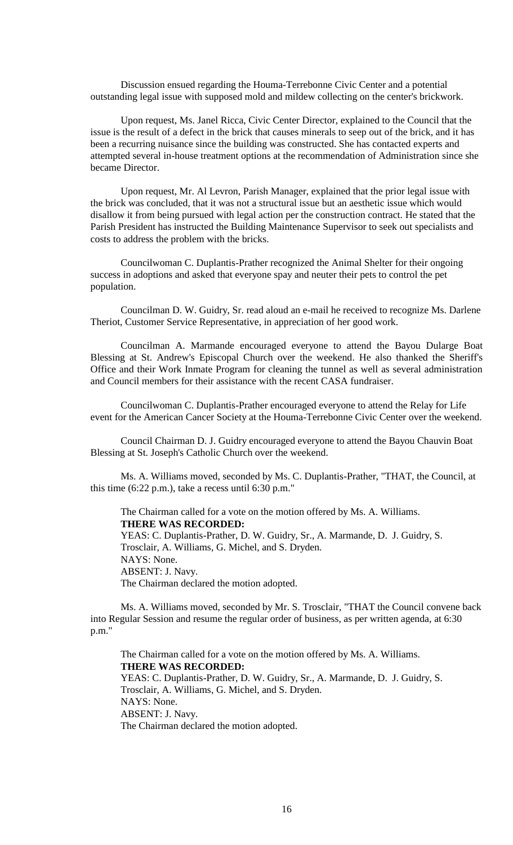Discussion ensued regarding the Houma-Terrebonne Civic Center and a potential outstanding legal issue with supposed mold and mildew collecting on the center's brickwork.

Upon request, Ms. Janel Ricca, Civic Center Director, explained to the Council that the issue is the result of a defect in the brick that causes minerals to seep out of the brick, and it has been a recurring nuisance since the building was constructed. She has contacted experts and attempted several in-house treatment options at the recommendation of Administration since she became Director.

Upon request, Mr. Al Levron, Parish Manager, explained that the prior legal issue with the brick was concluded, that it was not a structural issue but an aesthetic issue which would disallow it from being pursued with legal action per the construction contract. He stated that the Parish President has instructed the Building Maintenance Supervisor to seek out specialists and costs to address the problem with the bricks.

Councilwoman C. Duplantis-Prather recognized the Animal Shelter for their ongoing success in adoptions and asked that everyone spay and neuter their pets to control the pet population.

Councilman D. W. Guidry, Sr. read aloud an e-mail he received to recognize Ms. Darlene Theriot, Customer Service Representative, in appreciation of her good work.

Councilman A. Marmande encouraged everyone to attend the Bayou Dularge Boat Blessing at St. Andrew's Episcopal Church over the weekend. He also thanked the Sheriff's Office and their Work Inmate Program for cleaning the tunnel as well as several administration and Council members for their assistance with the recent CASA fundraiser.

Councilwoman C. Duplantis-Prather encouraged everyone to attend the Relay for Life event for the American Cancer Society at the Houma-Terrebonne Civic Center over the weekend.

Council Chairman D. J. Guidry encouraged everyone to attend the Bayou Chauvin Boat Blessing at St. Joseph's Catholic Church over the weekend.

Ms. A. Williams moved, seconded by Ms. C. Duplantis-Prather, "THAT, the Council, at this time (6:22 p.m.), take a recess until 6:30 p.m."

The Chairman called for a vote on the motion offered by Ms. A. Williams. **THERE WAS RECORDED:** YEAS: C. Duplantis-Prather, D. W. Guidry, Sr., A. Marmande, D. J. Guidry, S. Trosclair, A. Williams, G. Michel, and S. Dryden. NAYS: None. ABSENT: J. Navy. The Chairman declared the motion adopted.

Ms. A. Williams moved, seconded by Mr. S. Trosclair, "THAT the Council convene back into Regular Session and resume the regular order of business, as per written agenda, at 6:30 p.m."

The Chairman called for a vote on the motion offered by Ms. A. Williams. **THERE WAS RECORDED:** YEAS: C. Duplantis-Prather, D. W. Guidry, Sr., A. Marmande, D. J. Guidry, S. Trosclair, A. Williams, G. Michel, and S. Dryden. NAYS: None. ABSENT: J. Navy. The Chairman declared the motion adopted.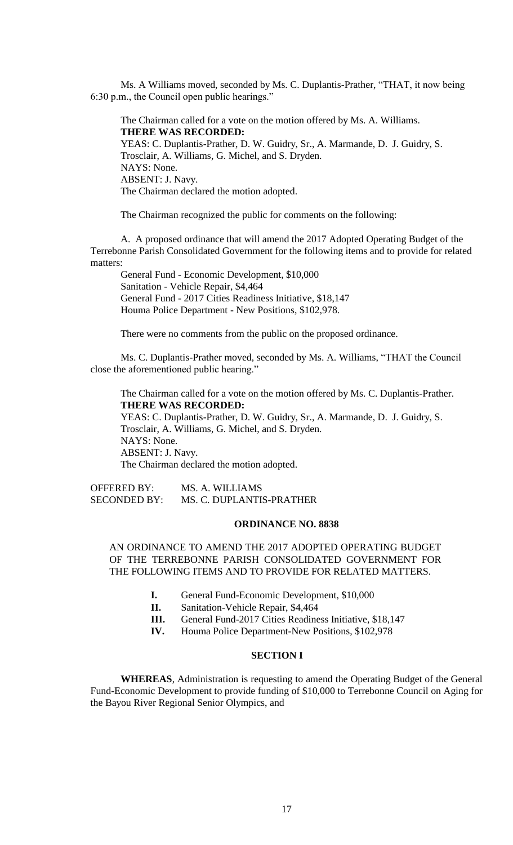Ms. A Williams moved, seconded by Ms. C. Duplantis-Prather, "THAT, it now being 6:30 p.m., the Council open public hearings."

The Chairman called for a vote on the motion offered by Ms. A. Williams. **THERE WAS RECORDED:** YEAS: C. Duplantis-Prather, D. W. Guidry, Sr., A. Marmande, D. J. Guidry, S. Trosclair, A. Williams, G. Michel, and S. Dryden. NAYS: None. ABSENT: J. Navy. The Chairman declared the motion adopted.

The Chairman recognized the public for comments on the following:

A. A proposed ordinance that will amend the 2017 Adopted Operating Budget of the Terrebonne Parish Consolidated Government for the following items and to provide for related matters:

General Fund - Economic Development, \$10,000 Sanitation - Vehicle Repair, \$4,464 General Fund - 2017 Cities Readiness Initiative, \$18,147 Houma Police Department - New Positions, \$102,978.

There were no comments from the public on the proposed ordinance.

Ms. C. Duplantis-Prather moved, seconded by Ms. A. Williams, "THAT the Council close the aforementioned public hearing."

The Chairman called for a vote on the motion offered by Ms. C. Duplantis-Prather. **THERE WAS RECORDED:**

YEAS: C. Duplantis-Prather, D. W. Guidry, Sr., A. Marmande, D. J. Guidry, S. Trosclair, A. Williams, G. Michel, and S. Dryden. NAYS: None. ABSENT: J. Navy. The Chairman declared the motion adopted.

OFFERED BY: MS. A. WILLIAMS SECONDED BY: MS. C. DUPLANTIS-PRATHER

### **ORDINANCE NO. 8838**

# AN ORDINANCE TO AMEND THE 2017 ADOPTED OPERATING BUDGET OF THE TERREBONNE PARISH CONSOLIDATED GOVERNMENT FOR THE FOLLOWING ITEMS AND TO PROVIDE FOR RELATED MATTERS.

- **I.** General Fund-Economic Development, \$10,000
- **II.** Sanitation-Vehicle Repair, \$4,464
- **III.** General Fund-2017 Cities Readiness Initiative, \$18,147
- **IV.** Houma Police Department-New Positions, \$102,978

### **SECTION I**

**WHEREAS**, Administration is requesting to amend the Operating Budget of the General Fund-Economic Development to provide funding of \$10,000 to Terrebonne Council on Aging for the Bayou River Regional Senior Olympics, and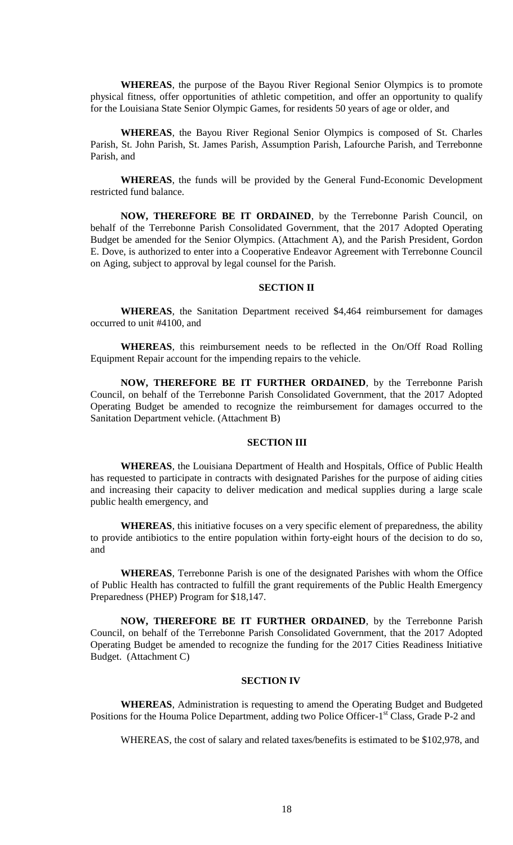**WHEREAS**, the purpose of the Bayou River Regional Senior Olympics is to promote physical fitness, offer opportunities of athletic competition, and offer an opportunity to qualify for the Louisiana State Senior Olympic Games, for residents 50 years of age or older, and

**WHEREAS**, the Bayou River Regional Senior Olympics is composed of St. Charles Parish, St. John Parish, St. James Parish, Assumption Parish, Lafourche Parish, and Terrebonne Parish, and

**WHEREAS**, the funds will be provided by the General Fund-Economic Development restricted fund balance.

**NOW, THEREFORE BE IT ORDAINED**, by the Terrebonne Parish Council, on behalf of the Terrebonne Parish Consolidated Government, that the 2017 Adopted Operating Budget be amended for the Senior Olympics. (Attachment A), and the Parish President, Gordon E. Dove, is authorized to enter into a Cooperative Endeavor Agreement with Terrebonne Council on Aging, subject to approval by legal counsel for the Parish.

#### **SECTION II**

**WHEREAS**, the Sanitation Department received \$4,464 reimbursement for damages occurred to unit #4100, and

**WHEREAS**, this reimbursement needs to be reflected in the On/Off Road Rolling Equipment Repair account for the impending repairs to the vehicle.

**NOW, THEREFORE BE IT FURTHER ORDAINED**, by the Terrebonne Parish Council, on behalf of the Terrebonne Parish Consolidated Government, that the 2017 Adopted Operating Budget be amended to recognize the reimbursement for damages occurred to the Sanitation Department vehicle. (Attachment B)

## **SECTION III**

**WHEREAS**, the Louisiana Department of Health and Hospitals, Office of Public Health has requested to participate in contracts with designated Parishes for the purpose of aiding cities and increasing their capacity to deliver medication and medical supplies during a large scale public health emergency, and

**WHEREAS**, this initiative focuses on a very specific element of preparedness, the ability to provide antibiotics to the entire population within forty-eight hours of the decision to do so, and

**WHEREAS**, Terrebonne Parish is one of the designated Parishes with whom the Office of Public Health has contracted to fulfill the grant requirements of the Public Health Emergency Preparedness (PHEP) Program for \$18,147.

**NOW, THEREFORE BE IT FURTHER ORDAINED**, by the Terrebonne Parish Council, on behalf of the Terrebonne Parish Consolidated Government, that the 2017 Adopted Operating Budget be amended to recognize the funding for the 2017 Cities Readiness Initiative Budget. (Attachment C)

## **SECTION IV**

**WHEREAS**, Administration is requesting to amend the Operating Budget and Budgeted Positions for the Houma Police Department, adding two Police Officer-1<sup>st</sup> Class, Grade P-2 and

WHEREAS, the cost of salary and related taxes/benefits is estimated to be \$102,978, and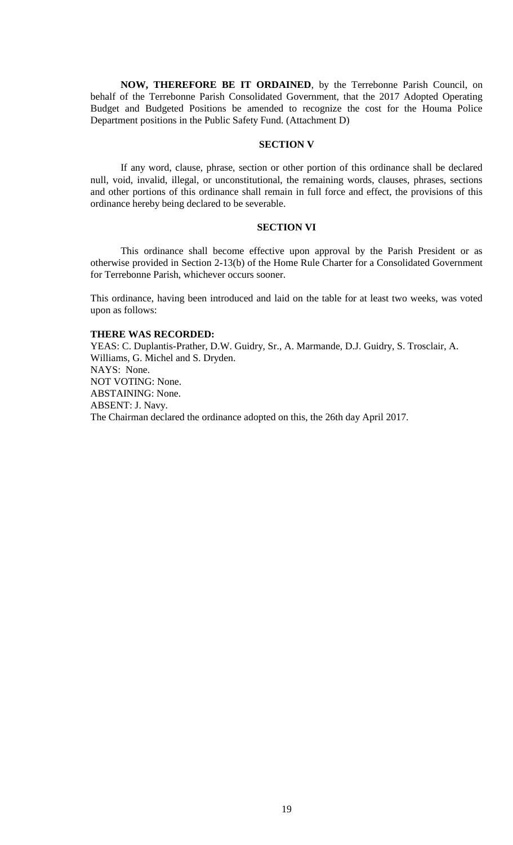**NOW, THEREFORE BE IT ORDAINED**, by the Terrebonne Parish Council, on behalf of the Terrebonne Parish Consolidated Government, that the 2017 Adopted Operating Budget and Budgeted Positions be amended to recognize the cost for the Houma Police Department positions in the Public Safety Fund. (Attachment D)

## **SECTION V**

If any word, clause, phrase, section or other portion of this ordinance shall be declared null, void, invalid, illegal, or unconstitutional, the remaining words, clauses, phrases, sections and other portions of this ordinance shall remain in full force and effect, the provisions of this ordinance hereby being declared to be severable.

# **SECTION VI**

This ordinance shall become effective upon approval by the Parish President or as otherwise provided in Section 2-13(b) of the Home Rule Charter for a Consolidated Government for Terrebonne Parish, whichever occurs sooner.

This ordinance, having been introduced and laid on the table for at least two weeks, was voted upon as follows:

## **THERE WAS RECORDED:**

YEAS: C. Duplantis-Prather, D.W. Guidry, Sr., A. Marmande, D.J. Guidry, S. Trosclair, A. Williams, G. Michel and S. Dryden. NAYS: None. NOT VOTING: None. ABSTAINING: None. ABSENT: J. Navy. The Chairman declared the ordinance adopted on this, the 26th day April 2017.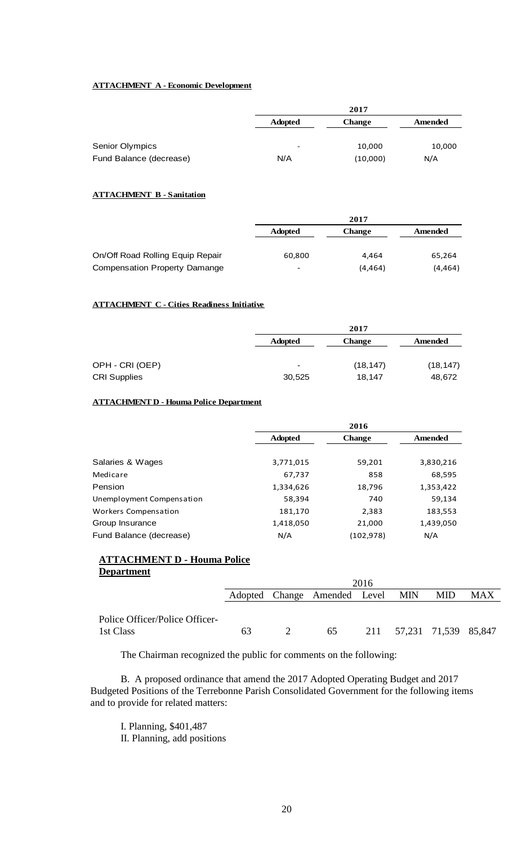## **ATTACHMENT A - Economic Development**

|                         | 2017           |               |                |  |
|-------------------------|----------------|---------------|----------------|--|
|                         | <b>Adopted</b> | <b>Change</b> | <b>Amended</b> |  |
| <b>Senior Olympics</b>  | -              | 10,000        | 10,000         |  |
| Fund Balance (decrease) | N/A            | (10,000)      | N/A            |  |

### **ATTACHMENT B - Sanitation**

| 2017                     |               |         |  |
|--------------------------|---------------|---------|--|
| <b>Adopted</b>           | <b>Change</b> | Amended |  |
|                          |               |         |  |
| 60,800                   | 4.464         | 65,264  |  |
| $\overline{\phantom{0}}$ | (4, 464)      | (4,464) |  |
|                          |               |         |  |

#### **ATTACHMENT C - Cities Readiness Initiative**

|                     |                          | 2017          |           |  |  |
|---------------------|--------------------------|---------------|-----------|--|--|
|                     | <b>Adopted</b>           | <b>Change</b> | Amended   |  |  |
| OPH - CRI (OEP)     | $\overline{\phantom{0}}$ | (18, 147)     | (18, 147) |  |  |
| <b>CRI Supplies</b> | 30,525                   | 18.147        | 48,672    |  |  |

## **ATTACHMENT D - Houma Police Department**

|                           |                | 2016          |           |  |  |  |
|---------------------------|----------------|---------------|-----------|--|--|--|
|                           | <b>Adopted</b> | <b>Change</b> | Amended   |  |  |  |
|                           |                |               |           |  |  |  |
| Salaries & Wages          | 3,771,015      | 59,201        | 3,830,216 |  |  |  |
| Medicare                  | 67,737         | 858           | 68,595    |  |  |  |
| Pension                   | 1,334,626      | 18,796        | 1,353,422 |  |  |  |
| Unemployment Compensation | 58,394         | 740           | 59,134    |  |  |  |
| Workers Compensation      | 181,170        | 2,383         | 183,553   |  |  |  |
| Group Insurance           | 1,418,050      | 21,000        | 1,439,050 |  |  |  |
| Fund Balance (decrease)   | N/A            | (102, 978)    | N/A       |  |  |  |

## **ATTACHMENT D - Houma Police Department**

|                                | 2016 |  |                                  |  |  |                          |     |
|--------------------------------|------|--|----------------------------------|--|--|--------------------------|-----|
|                                |      |  | Adopted Change Amended Level MIN |  |  | <b>MID</b>               | MAX |
|                                |      |  |                                  |  |  |                          |     |
| Police Officer/Police Officer- |      |  |                                  |  |  |                          |     |
| 1st Class                      | 63   |  | 65                               |  |  | 211 57,231 71,539 85,847 |     |

The Chairman recognized the public for comments on the following:

B. A proposed ordinance that amend the 2017 Adopted Operating Budget and 2017 Budgeted Positions of the Terrebonne Parish Consolidated Government for the following items and to provide for related matters:

I. Planning, \$401,487 II. Planning, add positions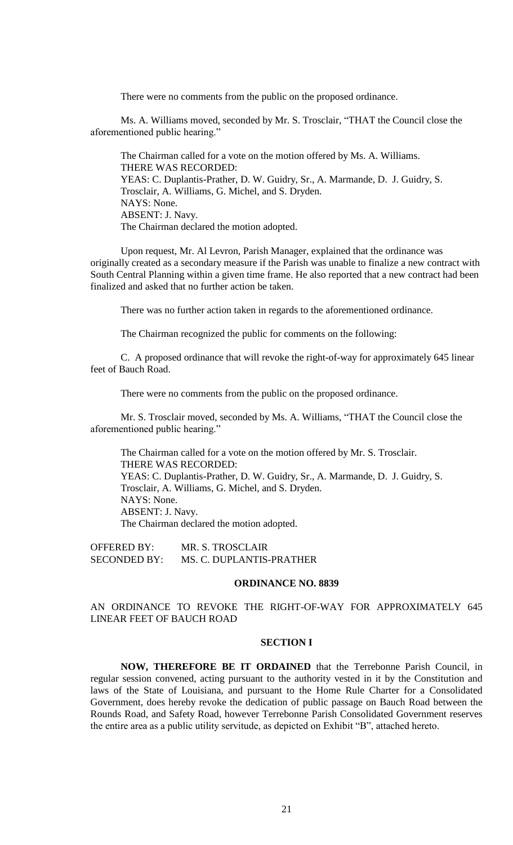There were no comments from the public on the proposed ordinance.

Ms. A. Williams moved, seconded by Mr. S. Trosclair, "THAT the Council close the aforementioned public hearing."

The Chairman called for a vote on the motion offered by Ms. A. Williams. THERE WAS RECORDED: YEAS: C. Duplantis-Prather, D. W. Guidry, Sr., A. Marmande, D. J. Guidry, S. Trosclair, A. Williams, G. Michel, and S. Dryden. NAYS: None. ABSENT: J. Navy. The Chairman declared the motion adopted.

Upon request, Mr. Al Levron, Parish Manager, explained that the ordinance was originally created as a secondary measure if the Parish was unable to finalize a new contract with South Central Planning within a given time frame. He also reported that a new contract had been finalized and asked that no further action be taken.

There was no further action taken in regards to the aforementioned ordinance.

The Chairman recognized the public for comments on the following:

C. A proposed ordinance that will revoke the right-of-way for approximately 645 linear feet of Bauch Road.

There were no comments from the public on the proposed ordinance.

Mr. S. Trosclair moved, seconded by Ms. A. Williams, "THAT the Council close the aforementioned public hearing."

The Chairman called for a vote on the motion offered by Mr. S. Trosclair. THERE WAS RECORDED: YEAS: C. Duplantis-Prather, D. W. Guidry, Sr., A. Marmande, D. J. Guidry, S. Trosclair, A. Williams, G. Michel, and S. Dryden. NAYS: None. ABSENT: J. Navy. The Chairman declared the motion adopted.

OFFERED BY: MR. S. TROSCLAIR SECONDED BY: MS. C. DUPLANTIS-PRATHER

#### **ORDINANCE NO. 8839**

# AN ORDINANCE TO REVOKE THE RIGHT-OF-WAY FOR APPROXIMATELY 645 LINEAR FEET OF BAUCH ROAD

### **SECTION I**

**NOW, THEREFORE BE IT ORDAINED** that the Terrebonne Parish Council, in regular session convened, acting pursuant to the authority vested in it by the Constitution and laws of the State of Louisiana, and pursuant to the Home Rule Charter for a Consolidated Government, does hereby revoke the dedication of public passage on Bauch Road between the Rounds Road, and Safety Road, however Terrebonne Parish Consolidated Government reserves the entire area as a public utility servitude, as depicted on Exhibit "B", attached hereto.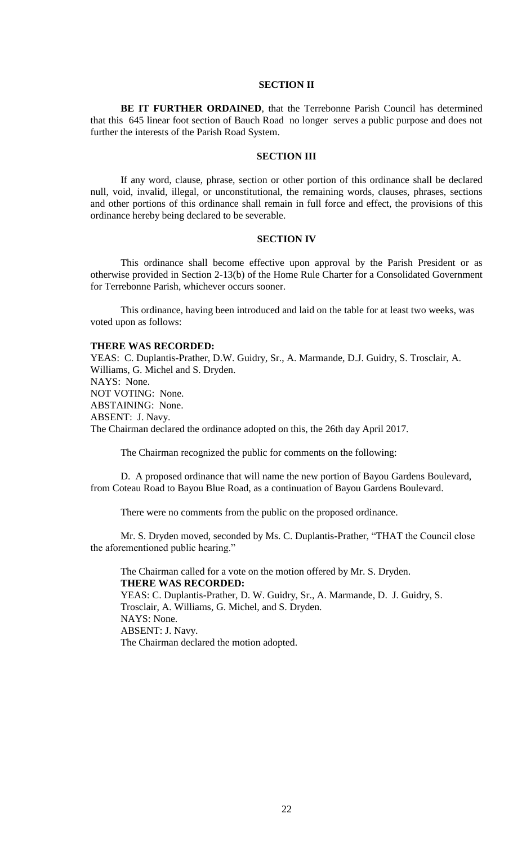## **SECTION II**

**BE IT FURTHER ORDAINED**, that the Terrebonne Parish Council has determined that this 645 linear foot section of Bauch Road no longer serves a public purpose and does not further the interests of the Parish Road System.

## **SECTION III**

If any word, clause, phrase, section or other portion of this ordinance shall be declared null, void, invalid, illegal, or unconstitutional, the remaining words, clauses, phrases, sections and other portions of this ordinance shall remain in full force and effect, the provisions of this ordinance hereby being declared to be severable.

#### **SECTION IV**

This ordinance shall become effective upon approval by the Parish President or as otherwise provided in Section 2-13(b) of the Home Rule Charter for a Consolidated Government for Terrebonne Parish, whichever occurs sooner.

This ordinance, having been introduced and laid on the table for at least two weeks, was voted upon as follows:

#### **THERE WAS RECORDED:**

YEAS: C. Duplantis-Prather, D.W. Guidry, Sr., A. Marmande, D.J. Guidry, S. Trosclair, A. Williams, G. Michel and S. Dryden. NAYS: None. NOT VOTING: None. ABSTAINING: None. ABSENT: J. Navy. The Chairman declared the ordinance adopted on this, the 26th day April 2017.

The Chairman recognized the public for comments on the following:

D. A proposed ordinance that will name the new portion of Bayou Gardens Boulevard, from Coteau Road to Bayou Blue Road, as a continuation of Bayou Gardens Boulevard.

There were no comments from the public on the proposed ordinance.

Mr. S. Dryden moved, seconded by Ms. C. Duplantis-Prather, "THAT the Council close the aforementioned public hearing."

The Chairman called for a vote on the motion offered by Mr. S. Dryden. **THERE WAS RECORDED:** YEAS: C. Duplantis-Prather, D. W. Guidry, Sr., A. Marmande, D. J. Guidry, S. Trosclair, A. Williams, G. Michel, and S. Dryden. NAYS: None. ABSENT: J. Navy. The Chairman declared the motion adopted.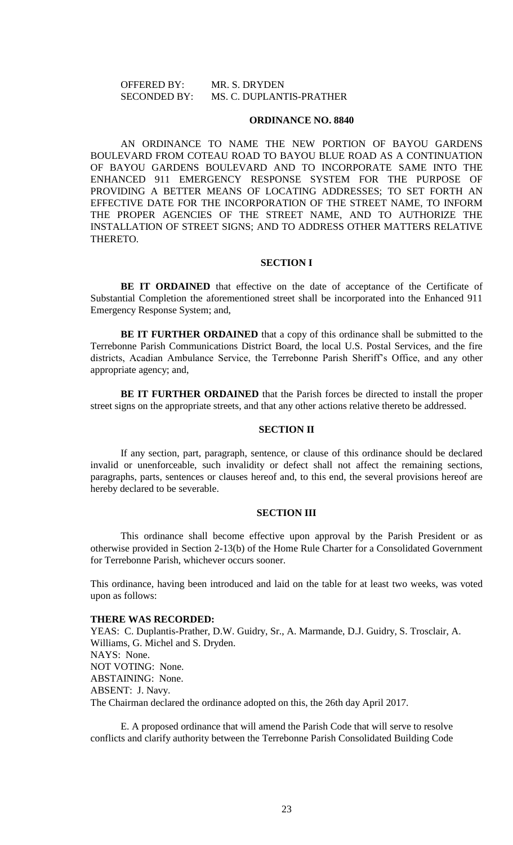## OFFERED BY: MR. S. DRYDEN SECONDED BY: MS. C. DUPLANTIS-PRATHER

#### **ORDINANCE NO. 8840**

AN ORDINANCE TO NAME THE NEW PORTION OF BAYOU GARDENS BOULEVARD FROM COTEAU ROAD TO BAYOU BLUE ROAD AS A CONTINUATION OF BAYOU GARDENS BOULEVARD AND TO INCORPORATE SAME INTO THE ENHANCED 911 EMERGENCY RESPONSE SYSTEM FOR THE PURPOSE OF PROVIDING A BETTER MEANS OF LOCATING ADDRESSES; TO SET FORTH AN EFFECTIVE DATE FOR THE INCORPORATION OF THE STREET NAME, TO INFORM THE PROPER AGENCIES OF THE STREET NAME, AND TO AUTHORIZE THE INSTALLATION OF STREET SIGNS; AND TO ADDRESS OTHER MATTERS RELATIVE THERETO.

#### **SECTION I**

**BE IT ORDAINED** that effective on the date of acceptance of the Certificate of Substantial Completion the aforementioned street shall be incorporated into the Enhanced 911 Emergency Response System; and,

**BE IT FURTHER ORDAINED** that a copy of this ordinance shall be submitted to the Terrebonne Parish Communications District Board, the local U.S. Postal Services, and the fire districts, Acadian Ambulance Service, the Terrebonne Parish Sheriff's Office, and any other appropriate agency; and,

**BE IT FURTHER ORDAINED** that the Parish forces be directed to install the proper street signs on the appropriate streets, and that any other actions relative thereto be addressed.

### **SECTION II**

If any section, part, paragraph, sentence, or clause of this ordinance should be declared invalid or unenforceable, such invalidity or defect shall not affect the remaining sections, paragraphs, parts, sentences or clauses hereof and, to this end, the several provisions hereof are hereby declared to be severable.

### **SECTION III**

This ordinance shall become effective upon approval by the Parish President or as otherwise provided in Section 2-13(b) of the Home Rule Charter for a Consolidated Government for Terrebonne Parish, whichever occurs sooner.

This ordinance, having been introduced and laid on the table for at least two weeks, was voted upon as follows:

#### **THERE WAS RECORDED:**

YEAS: C. Duplantis-Prather, D.W. Guidry, Sr., A. Marmande, D.J. Guidry, S. Trosclair, A. Williams, G. Michel and S. Dryden. NAYS: None. NOT VOTING: None. ABSTAINING: None. ABSENT: J. Navy. The Chairman declared the ordinance adopted on this, the 26th day April 2017.

E. A proposed ordinance that will amend the Parish Code that will serve to resolve conflicts and clarify authority between the Terrebonne Parish Consolidated Building Code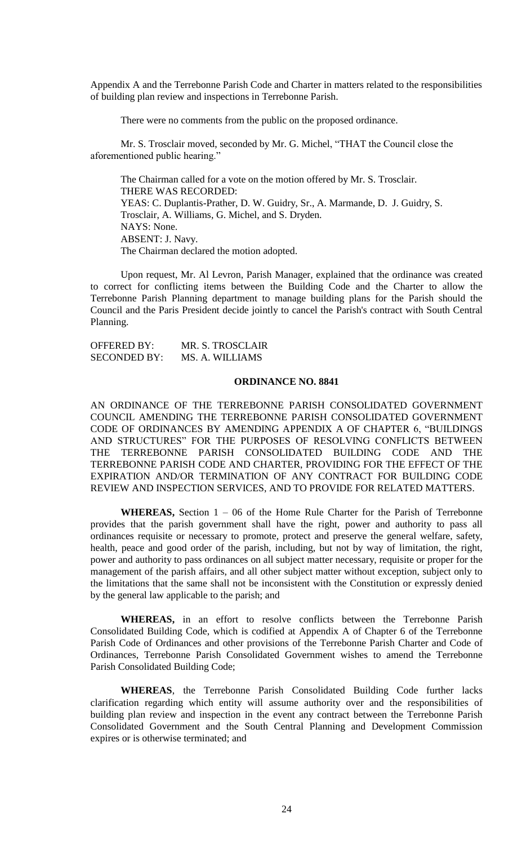Appendix A and the Terrebonne Parish Code and Charter in matters related to the responsibilities of building plan review and inspections in Terrebonne Parish.

There were no comments from the public on the proposed ordinance.

Mr. S. Trosclair moved, seconded by Mr. G. Michel, "THAT the Council close the aforementioned public hearing."

The Chairman called for a vote on the motion offered by Mr. S. Trosclair. THERE WAS RECORDED: YEAS: C. Duplantis-Prather, D. W. Guidry, Sr., A. Marmande, D. J. Guidry, S. Trosclair, A. Williams, G. Michel, and S. Dryden. NAYS: None. ABSENT: J. Navy. The Chairman declared the motion adopted.

Upon request, Mr. Al Levron, Parish Manager, explained that the ordinance was created to correct for conflicting items between the Building Code and the Charter to allow the Terrebonne Parish Planning department to manage building plans for the Parish should the Council and the Paris President decide jointly to cancel the Parish's contract with South Central Planning.

OFFERED BY: MR. S. TROSCLAIR SECONDED BY: MS. A. WILLIAMS

## **ORDINANCE NO. 8841**

AN ORDINANCE OF THE TERREBONNE PARISH CONSOLIDATED GOVERNMENT COUNCIL AMENDING THE TERREBONNE PARISH CONSOLIDATED GOVERNMENT CODE OF ORDINANCES BY AMENDING APPENDIX A OF CHAPTER 6, "BUILDINGS AND STRUCTURES" FOR THE PURPOSES OF RESOLVING CONFLICTS BETWEEN THE TERREBONNE PARISH CONSOLIDATED BUILDING CODE AND THE TERREBONNE PARISH CODE AND CHARTER, PROVIDING FOR THE EFFECT OF THE EXPIRATION AND/OR TERMINATION OF ANY CONTRACT FOR BUILDING CODE REVIEW AND INSPECTION SERVICES, AND TO PROVIDE FOR RELATED MATTERS.

**WHEREAS,** Section 1 – 06 of the Home Rule Charter for the Parish of Terrebonne provides that the parish government shall have the right, power and authority to pass all ordinances requisite or necessary to promote, protect and preserve the general welfare, safety, health, peace and good order of the parish, including, but not by way of limitation, the right, power and authority to pass ordinances on all subject matter necessary, requisite or proper for the management of the parish affairs, and all other subject matter without exception, subject only to the limitations that the same shall not be inconsistent with the Constitution or expressly denied by the general law applicable to the parish; and

**WHEREAS,** in an effort to resolve conflicts between the Terrebonne Parish Consolidated Building Code, which is codified at Appendix A of Chapter 6 of the Terrebonne Parish Code of Ordinances and other provisions of the Terrebonne Parish Charter and Code of Ordinances, Terrebonne Parish Consolidated Government wishes to amend the Terrebonne Parish Consolidated Building Code;

**WHEREAS**, the Terrebonne Parish Consolidated Building Code further lacks clarification regarding which entity will assume authority over and the responsibilities of building plan review and inspection in the event any contract between the Terrebonne Parish Consolidated Government and the South Central Planning and Development Commission expires or is otherwise terminated; and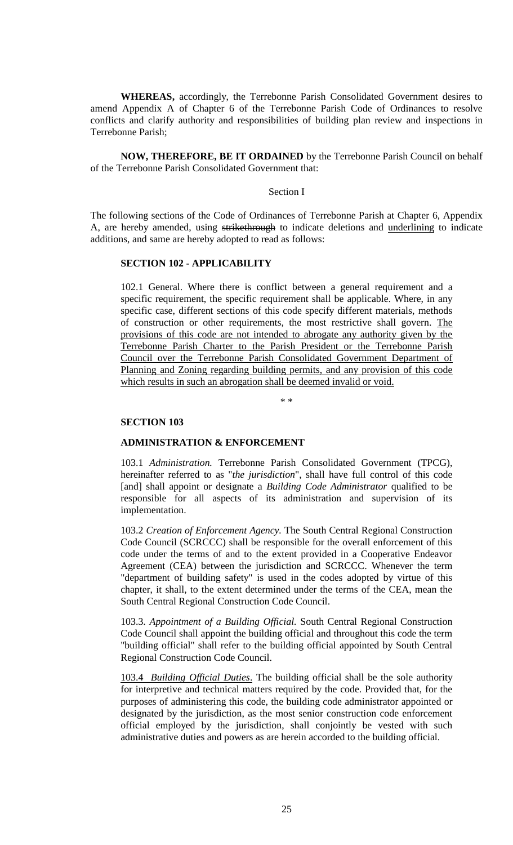**WHEREAS,** accordingly, the Terrebonne Parish Consolidated Government desires to amend Appendix A of Chapter 6 of the Terrebonne Parish Code of Ordinances to resolve conflicts and clarify authority and responsibilities of building plan review and inspections in Terrebonne Parish;

**NOW, THEREFORE, BE IT ORDAINED** by the Terrebonne Parish Council on behalf of the Terrebonne Parish Consolidated Government that:

## Section I

The following sections of the Code of Ordinances of Terrebonne Parish at Chapter 6, Appendix A, are hereby amended, using strikethrough to indicate deletions and underlining to indicate additions, and same are hereby adopted to read as follows:

## **SECTION 102 - APPLICABILITY**

102.1 General. Where there is conflict between a general requirement and a specific requirement, the specific requirement shall be applicable. Where, in any specific case, different sections of this code specify different materials, methods of construction or other requirements, the most restrictive shall govern. The provisions of this code are not intended to abrogate any authority given by the Terrebonne Parish Charter to the Parish President or the Terrebonne Parish Council over the Terrebonne Parish Consolidated Government Department of Planning and Zoning regarding building permits, and any provision of this code which results in such an abrogation shall be deemed invalid or void.

\* \*

#### **SECTION 103**

## **ADMINISTRATION & ENFORCEMENT**

103.1 *Administration.* Terrebonne Parish Consolidated Government (TPCG), hereinafter referred to as "*the jurisdiction*", shall have full control of this code [and] shall appoint or designate a *Building Code Administrator* qualified to be responsible for all aspects of its administration and supervision of its implementation.

103.2 *Creation of Enforcement Agency.* The South Central Regional Construction Code Council (SCRCCC) shall be responsible for the overall enforcement of this code under the terms of and to the extent provided in a Cooperative Endeavor Agreement (CEA) between the jurisdiction and SCRCCC. Whenever the term "department of building safety" is used in the codes adopted by virtue of this chapter, it shall, to the extent determined under the terms of the CEA, mean the South Central Regional Construction Code Council.

103.3. *Appointment of a Building Official.* South Central Regional Construction Code Council shall appoint the building official and throughout this code the term "building official" shall refer to the building official appointed by South Central Regional Construction Code Council.

103.4 *Building Official Duties*. The building official shall be the sole authority for interpretive and technical matters required by the code. Provided that, for the purposes of administering this code, the building code administrator appointed or designated by the jurisdiction, as the most senior construction code enforcement official employed by the jurisdiction, shall conjointly be vested with such administrative duties and powers as are herein accorded to the building official.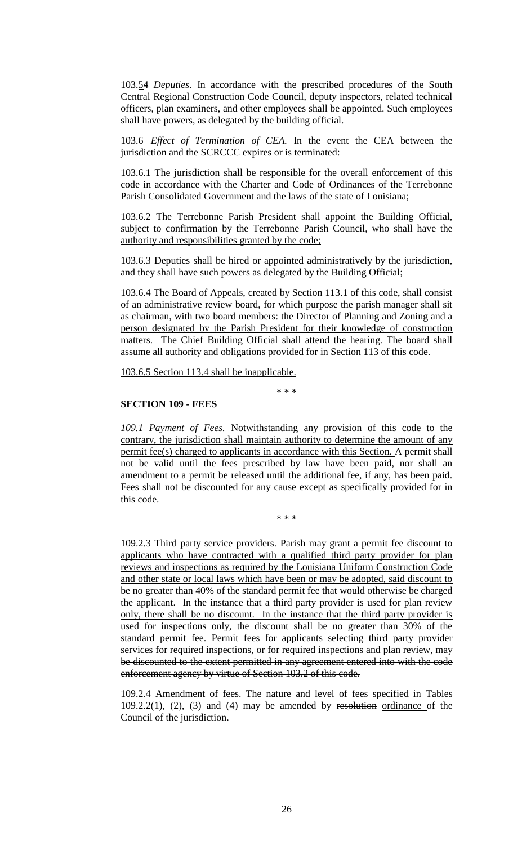103.54 *Deputies.* In accordance with the prescribed procedures of the South Central Regional Construction Code Council, deputy inspectors, related technical officers, plan examiners, and other employees shall be appointed. Such employees shall have powers, as delegated by the building official.

103.6 *Effect of Termination of CEA.* In the event the CEA between the jurisdiction and the SCRCCC expires or is terminated:

103.6.1 The jurisdiction shall be responsible for the overall enforcement of this code in accordance with the Charter and Code of Ordinances of the Terrebonne Parish Consolidated Government and the laws of the state of Louisiana;

103.6.2 The Terrebonne Parish President shall appoint the Building Official, subject to confirmation by the Terrebonne Parish Council, who shall have the authority and responsibilities granted by the code;

103.6.3 Deputies shall be hired or appointed administratively by the jurisdiction, and they shall have such powers as delegated by the Building Official;

103.6.4 The Board of Appeals, created by Section 113.1 of this code, shall consist of an administrative review board, for which purpose the parish manager shall sit as chairman, with two board members: the Director of Planning and Zoning and a person designated by the Parish President for their knowledge of construction matters. The Chief Building Official shall attend the hearing. The board shall assume all authority and obligations provided for in Section 113 of this code.

103.6.5 Section 113.4 shall be inapplicable.

\* \* \*

## **SECTION 109 - FEES**

*109.1 Payment of Fees.* Notwithstanding any provision of this code to the contrary, the jurisdiction shall maintain authority to determine the amount of any permit fee(s) charged to applicants in accordance with this Section. A permit shall not be valid until the fees prescribed by law have been paid, nor shall an amendment to a permit be released until the additional fee, if any, has been paid. Fees shall not be discounted for any cause except as specifically provided for in this code.

\* \* \*

109.2.3 Third party service providers. Parish may grant a permit fee discount to applicants who have contracted with a qualified third party provider for plan reviews and inspections as required by the Louisiana Uniform Construction Code and other state or local laws which have been or may be adopted, said discount to be no greater than 40% of the standard permit fee that would otherwise be charged the applicant. In the instance that a third party provider is used for plan review only, there shall be no discount. In the instance that the third party provider is used for inspections only, the discount shall be no greater than 30% of the standard permit fee. Permit fees for applicants selecting third party provider services for required inspections, or for required inspections and plan review, may be discounted to the extent permitted in any agreement entered into with the code enforcement agency by virtue of Section 103.2 of this code.

109.2.4 Amendment of fees. The nature and level of fees specified in Tables  $109.2.2(1)$ ,  $(2)$ ,  $(3)$  and  $(4)$  may be amended by resolution ordinance of the Council of the jurisdiction.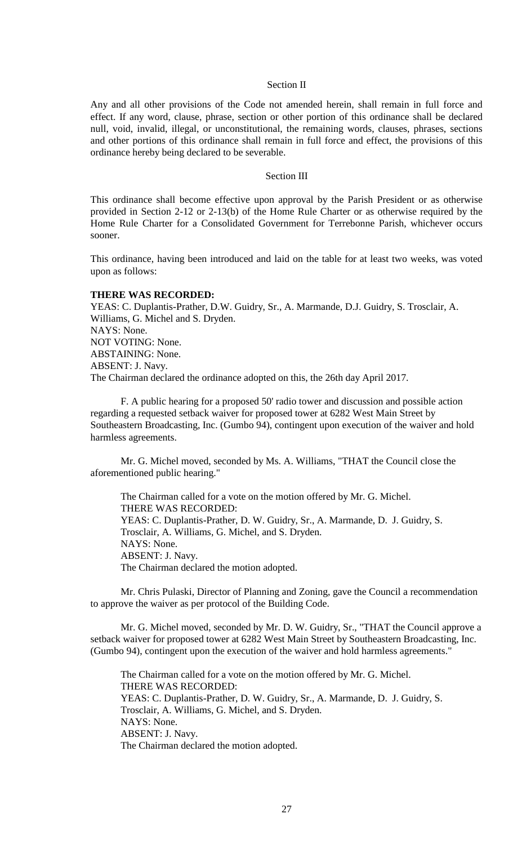## Section II

Any and all other provisions of the Code not amended herein, shall remain in full force and effect. If any word, clause, phrase, section or other portion of this ordinance shall be declared null, void, invalid, illegal, or unconstitutional, the remaining words, clauses, phrases, sections and other portions of this ordinance shall remain in full force and effect, the provisions of this ordinance hereby being declared to be severable.

#### Section III

This ordinance shall become effective upon approval by the Parish President or as otherwise provided in Section 2-12 or 2-13(b) of the Home Rule Charter or as otherwise required by the Home Rule Charter for a Consolidated Government for Terrebonne Parish, whichever occurs sooner.

This ordinance, having been introduced and laid on the table for at least two weeks, was voted upon as follows:

## **THERE WAS RECORDED:**

YEAS: C. Duplantis-Prather, D.W. Guidry, Sr., A. Marmande, D.J. Guidry, S. Trosclair, A. Williams, G. Michel and S. Dryden. NAYS: None. NOT VOTING: None. ABSTAINING: None. ABSENT: J. Navy. The Chairman declared the ordinance adopted on this, the 26th day April 2017.

F. A public hearing for a proposed 50' radio tower and discussion and possible action regarding a requested setback waiver for proposed tower at 6282 West Main Street by Southeastern Broadcasting, Inc. (Gumbo 94), contingent upon execution of the waiver and hold harmless agreements.

Mr. G. Michel moved, seconded by Ms. A. Williams, "THAT the Council close the aforementioned public hearing."

The Chairman called for a vote on the motion offered by Mr. G. Michel. THERE WAS RECORDED: YEAS: C. Duplantis-Prather, D. W. Guidry, Sr., A. Marmande, D. J. Guidry, S. Trosclair, A. Williams, G. Michel, and S. Dryden. NAYS: None. ABSENT: J. Navy. The Chairman declared the motion adopted.

Mr. Chris Pulaski, Director of Planning and Zoning, gave the Council a recommendation to approve the waiver as per protocol of the Building Code.

Mr. G. Michel moved, seconded by Mr. D. W. Guidry, Sr., "THAT the Council approve a setback waiver for proposed tower at 6282 West Main Street by Southeastern Broadcasting, Inc. (Gumbo 94), contingent upon the execution of the waiver and hold harmless agreements."

The Chairman called for a vote on the motion offered by Mr. G. Michel. THERE WAS RECORDED: YEAS: C. Duplantis-Prather, D. W. Guidry, Sr., A. Marmande, D. J. Guidry, S. Trosclair, A. Williams, G. Michel, and S. Dryden. NAYS: None. ABSENT: J. Navy. The Chairman declared the motion adopted.